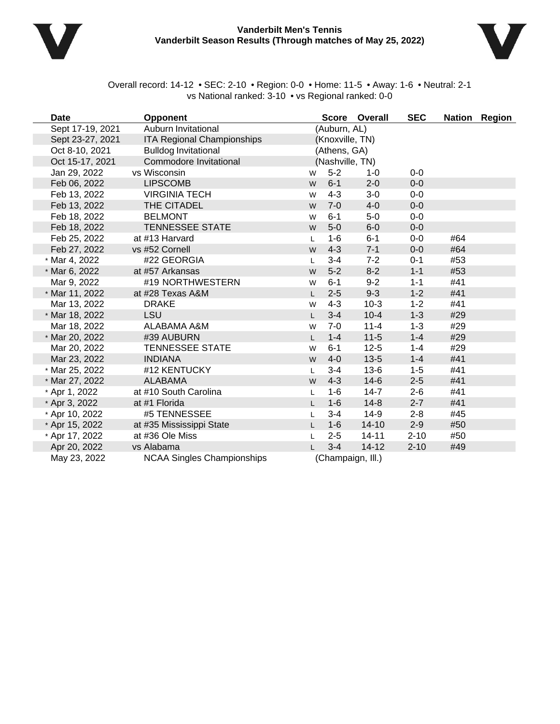



Overall record: 14-12 • SEC: 2-10 • Region: 0-0 • Home: 11-5 • Away: 1-6 • Neutral: 2-1 vs National ranked: 3-10 • vs Regional ranked: 0-0

| Date             | <b>Opponent</b>                   |              |                 | Score Overall     | <b>SEC</b> |     | Nation Region |
|------------------|-----------------------------------|--------------|-----------------|-------------------|------------|-----|---------------|
| Sept 17-19, 2021 | Auburn Invitational               |              | (Auburn, AL)    |                   |            |     |               |
| Sept 23-27, 2021 | <b>ITA Regional Championships</b> |              | (Knoxville, TN) |                   |            |     |               |
| Oct 8-10, 2021   | <b>Bulldog Invitational</b>       |              | (Athens, GA)    |                   |            |     |               |
| Oct 15-17, 2021  | Commodore Invitational            |              | (Nashville, TN) |                   |            |     |               |
| Jan 29, 2022     | vs Wisconsin                      | W            | $5-2$           | $1 - 0$           | $0-0$      |     |               |
| Feb 06, 2022     | <b>LIPSCOMB</b>                   | W            | $6 - 1$         | $2 - 0$           | $0-0$      |     |               |
| Feb 13, 2022     | <b>VIRGINIA TECH</b>              | W            | $4 - 3$         | $3-0$             | $0-0$      |     |               |
| Feb 13, 2022     | THE CITADEL                       | W            | $7 - 0$         | $4-0$             | $0-0$      |     |               |
| Feb 18, 2022     | <b>BELMONT</b>                    | W            | $6 - 1$         | $5-0$             | $0-0$      |     |               |
| Feb 18, 2022     | <b>TENNESSEE STATE</b>            | W            | $5-0$           | $6-0$             | $0-0$      |     |               |
| Feb 25, 2022     | at #13 Harvard                    | L            | $1 - 6$         | $6 - 1$           | $0-0$      | #64 |               |
| Feb 27, 2022     | vs #52 Cornell                    | W            | $4 - 3$         | $7 - 1$           | $0-0$      | #64 |               |
| * Mar 4, 2022    | #22 GEORGIA                       | L            | $3 - 4$         | $7 - 2$           | $0 - 1$    | #53 |               |
| * Mar 6, 2022    | at #57 Arkansas                   | W            | $5-2$           | $8 - 2$           | $1 - 1$    | #53 |               |
| Mar 9, 2022      | #19 NORTHWESTERN                  | W            | $6 - 1$         | $9 - 2$           | $1 - 1$    | #41 |               |
| * Mar 11, 2022   | at #28 Texas A&M                  |              | $2 - 5$         | $9 - 3$           | $1 - 2$    | #41 |               |
| Mar 13, 2022     | <b>DRAKE</b>                      | W            | $4 - 3$         | $10-3$            | $1 - 2$    | #41 |               |
| * Mar 18, 2022   | LSU                               | $\mathbf{L}$ | $3-4$           | $10 - 4$          | $1 - 3$    | #29 |               |
| Mar 18, 2022     | ALABAMA A&M                       | W            | $7 - 0$         | $11 - 4$          | $1 - 3$    | #29 |               |
| * Mar 20, 2022   | #39 AUBURN                        | I.           | $1 - 4$         | $11 - 5$          | $1 - 4$    | #29 |               |
| Mar 20, 2022     | <b>TENNESSEE STATE</b>            | W            | $6 - 1$         | $12 - 5$          | $1 - 4$    | #29 |               |
| Mar 23, 2022     | <b>INDIANA</b>                    | W            | $4-0$           | $13-5$            | $1 - 4$    | #41 |               |
| * Mar 25, 2022   | #12 KENTUCKY                      | L            | $3 - 4$         | $13-6$            | $1 - 5$    | #41 |               |
| * Mar 27, 2022   | <b>ALABAMA</b>                    | W            | $4 - 3$         | $14-6$            | $2 - 5$    | #41 |               |
| * Apr 1, 2022    | at #10 South Carolina             | L            | $1 - 6$         | $14 - 7$          | $2 - 6$    | #41 |               |
| * Apr 3, 2022    | at #1 Florida                     |              | $1-6$           | $14 - 8$          | $2 - 7$    | #41 |               |
| * Apr 10, 2022   | #5 TENNESSEE                      | L            | $3 - 4$         | $14-9$            | $2 - 8$    | #45 |               |
| * Apr 15, 2022   | at #35 Mississippi State          | L            | $1-6$           | $14 - 10$         | $2 - 9$    | #50 |               |
| * Apr 17, 2022   | at #36 Ole Miss                   | L            | $2 - 5$         | $14 - 11$         | $2 - 10$   | #50 |               |
| Apr 20, 2022     | vs Alabama                        |              | $3 - 4$         | $14 - 12$         | $2 - 10$   | #49 |               |
| May 23, 2022     | <b>NCAA Singles Championships</b> |              |                 | (Champaign, Ill.) |            |     |               |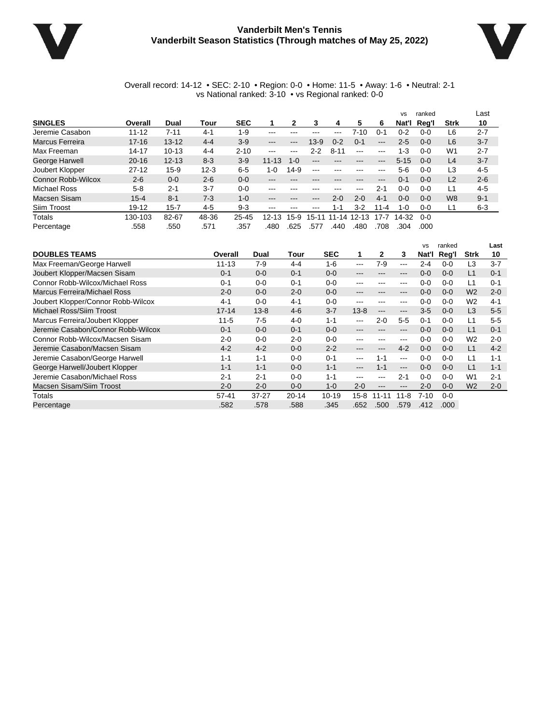

### **Vanderbilt Men's Tennis Vanderbilt Season Statistics (Through matches of May 25, 2022)**



#### Overall record: 14-12 • SEC: 2-10 • Region: 0-0 • Home: 11-5 • Away: 1-6 • Neutral: 2-1 vs National ranked: 3-10 • vs Regional ranked: 0-0

|                    |           |           |          |            |                   |                   |                            |          |           |                        | <b>VS</b> | ranked  |                | Last    |
|--------------------|-----------|-----------|----------|------------|-------------------|-------------------|----------------------------|----------|-----------|------------------------|-----------|---------|----------------|---------|
| <b>SINGLES</b>     | Overall   | Dual      | Tour     | <b>SEC</b> |                   | 2                 | 3                          | 4        | 5         | 6                      | Nat'l     | Rea'l   | <b>Strk</b>    | 10      |
| Jeremie Casabon    | $11 - 12$ | $7 - 11$  | $4 - 1$  | $1 - 9$    | ---               |                   |                            | ---      | 7-10      | -0-1                   | 0-2       | $0 - 0$ | L6             | $2 - 7$ |
| Marcus Ferreira    | $17 - 16$ | $13 - 12$ | $4 - 4$  | $3-9$      | $\qquad \qquad -$ | $\qquad \qquad -$ | $13 - 9$                   | $0 - 2$  | $0 - 1$   | $\frac{1}{2}$          | 2-5       | $0 - 0$ | L6             | $3 - 7$ |
| Max Freeman        | 14-17     | $10 - 13$ | $4 - 4$  | $2 - 10$   | $\frac{1}{2}$     | $-- -$            | $2 - 2$                    | $8 - 11$ | $---$     | $- - -$                | 1-3       | 0-0     | W <sub>1</sub> | $2 - 7$ |
| George Harwell     | $20 - 16$ | $12 - 13$ | $8 - 3$  | $3-9$      | $11 - 13$         | $1 - 0$           | $\qquad \qquad - \qquad -$ | $- - -$  | $-- -$    | $\qquad \qquad \cdots$ | $5 - 15$  | $0 - 0$ | L4             | $3 - 7$ |
| Joubert Klopper    | $27 - 12$ | $15 - 9$  | $12 - 3$ | $6-5$      | $1 - 0$           | $14-9$            | $\frac{1}{2}$              |          | ---       | $- - -$                | $5-6$     | 0-0     | L3             | $4 - 5$ |
| Connor Robb-Wilcox | $2 - 6$   | $0 - 0$   | $2 - 6$  | $0 - 0$    | $\qquad \qquad -$ | $- - -$           | ---                        | ---      | ---       | $\qquad \qquad -$      | $0 - 1$   | $0 - 0$ | L2             | $2 - 6$ |
| Michael Ross       | $5 - 8$   | $2 - 1$   | $3 - 7$  | $0 - 0$    | $-- -$            |                   |                            |          | ---       | $2 - 1$                | 0-0       | $0 - 0$ | L1             | $4 - 5$ |
| Macsen Sisam       | $15 - 4$  | $8 - 1$   | $7-3$    | $1 - 0$    | $- - -$           | ---               | ---                        | $2 - 0$  | $2 - 0$   | $4 - 1$                | $0 - 0$   | $0 - 0$ | W <sub>8</sub> | $9 - 1$ |
| Siim Troost        | 19-12     | $15 - 7$  | $4 - 5$  | $9-3$      | $-- -$            | $- - -$           | ---                        | $1 - 1$  | $3 - 2$   | $11 - 4$               | $1 - 0$   | $0 - 0$ | L1             | $6 - 3$ |
| Totals             | 130-103   | 82-67     | 48-36    | $25 - 45$  | 12-1<br>з         | 15-9              | 15-1                       | 11-14    | $12 - 13$ | $17 - 7$               | 14-32     | $0 - 0$ |                |         |
| Percentage         | .558      | .550      | .571     | .357       | .480              | .625              | 577.                       | .440     | .480      | 708                    | .304      | .000    |                |         |

|                                    |           |           |           |            |          |          |                                                                                                | <b>VS</b> | ranked  |                | Last    |
|------------------------------------|-----------|-----------|-----------|------------|----------|----------|------------------------------------------------------------------------------------------------|-----------|---------|----------------|---------|
| <b>DOUBLES TEAMS</b>               | Overall   | Dual      | Tour      | <b>SEC</b> | 1        | 2        | 3                                                                                              | Nat'l     | Reg'l   | Strk           | 10      |
| Max Freeman/George Harwell         | $11 - 13$ | $7-9$     | $4 - 4$   | $1 - 6$    | ---      | 7-9      | $\frac{1}{2}$                                                                                  | $2 - 4$   | $0 - 0$ | L3             | $3 - 7$ |
| Joubert Klopper/Macsen Sisam       | $0 - 1$   | $0 - 0$   | $0 - 1$   | $0 - 0$    | ---      |          | $---$                                                                                          | $0 - 0$   | $0 - 0$ | L1             | $0 - 1$ |
| Connor Robb-Wilcox/Michael Ross    | $0 - 1$   | $0 - 0$   | $0 - 1$   | $0 - 0$    | ---      |          | $--$                                                                                           | $0 - 0$   | $0 - 0$ | L1             | $0 - 1$ |
| Marcus Ferreira/Michael Ross       | $2 - 0$   | $0 - 0$   | $2 - 0$   | $0 - 0$    | ---      | ---      | $\qquad \qquad -$                                                                              | $0 - 0$   | $0 - 0$ | W <sub>2</sub> | $2 - 0$ |
| Joubert Klopper/Connor Robb-Wilcox | $4 - 1$   | $0 - 0$   | $4 - 1$   | $0 - 0$    | ---      | ---      | $\frac{1}{2}$                                                                                  | $0 - 0$   | $0 - 0$ | W <sub>2</sub> | $4 - 1$ |
| Michael Ross/Siim Troost           | $17 - 14$ | $13 - 8$  | $4 - 6$   | $3 - 7$    | $13 - 8$ | $- - -$  | $\qquad \qquad \cdots$                                                                         | $3-5$     | $0-0$   | L <sub>3</sub> | $5-5$   |
| Marcus Ferreira/Joubert Klopper    | $11 - 5$  | $7-5$     | $4 - 0$   | $1 - 1$    | ---      | $2 - 0$  | $5-5$                                                                                          | $0 - 1$   | $0 - 0$ | L1             | $5-5$   |
| Jeremie Casabon/Connor Robb-Wilcox | $0 - 1$   | $0 - 0$   | $0 - 1$   | $0 - 0$    | ---      | ---      | $\qquad \qquad -$                                                                              | $0 - 0$   | $0 - 0$ | L1             | $0 - 1$ |
| Connor Robb-Wilcox/Macsen Sisam    | $2 - 0$   | $0 - 0$   | $2 - 0$   | $0 - 0$    | ---      |          | $\frac{1}{2} \left( \frac{1}{2} \right) \left( \frac{1}{2} \right) \left( \frac{1}{2} \right)$ | $0 - 0$   | $0 - 0$ | W <sub>2</sub> | $2 - 0$ |
| Jeremie Casabon/Macsen Sisam       | $4 - 2$   | $4 - 2$   | $0 - 0$   | $2 - 2$    | ---      |          | $4 - 2$                                                                                        | $0 - 0$   | $0 - 0$ | L1             | $4 - 2$ |
| Jeremie Casabon/George Harwell     | $1 - 1$   | $1 - 1$   | $0 - 0$   | $0 - 1$    | ---      | $1 - 1$  | $- - -$                                                                                        | $0-0$     | $0 - 0$ | L1             | $1 - 1$ |
| George Harwell/Joubert Klopper     | $1 - 1$   | $1 - 1$   | $0 - 0$   | $1 - 1$    | ---      | $1 - 1$  | $\qquad \qquad -$                                                                              | $0 - 0$   | $0 - 0$ | L1             | $1 - 1$ |
| Jeremie Casabon/Michael Ross       | $2 - 1$   | $2 - 1$   | $0 - 0$   | $1 - 1$    | ---      | $- - -$  | $2 - 1$                                                                                        | $0 - 0$   | $0 - 0$ | W1             | $2 - 1$ |
| Macsen Sisam/Siim Troost           | $2 - 0$   | $2 - 0$   | $0 - 0$   | $1 - 0$    | $2 - 0$  | $-- -$   | $\qquad \qquad \cdots$                                                                         | $2 - 0$   | $0 - 0$ | W <sub>2</sub> | $2 - 0$ |
| Totals                             | $57 - 41$ | $37 - 27$ | $20 - 14$ | $10 - 19$  | $15-8$   | $11 - 1$ | $11 - 8$                                                                                       | 7-10      | $0 - 0$ |                |         |
| Percentage                         | .582      | .578      | .588      | .345       | .652     | .500     | .579                                                                                           | .412      | .000    |                |         |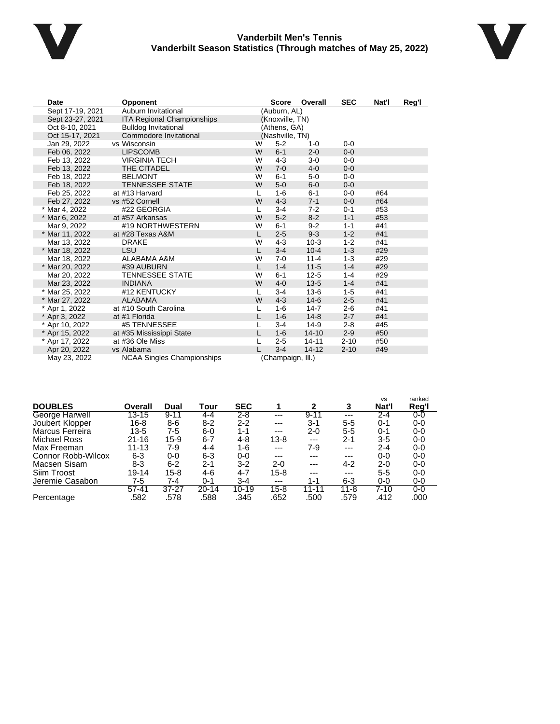

### **Vanderbilt Men's Tennis Vanderbilt Season Statistics (Through matches of May 25, 2022)**



| Date             | <b>Opponent</b>                   |   | <b>Score</b>      | Overall   | <b>SEC</b> | Nat'l | Reg'l |
|------------------|-----------------------------------|---|-------------------|-----------|------------|-------|-------|
| Sept 17-19, 2021 | Auburn Invitational               |   | (Auburn, AL)      |           |            |       |       |
| Sept 23-27, 2021 | ITA Regional Championships        |   | (Knoxville, TN)   |           |            |       |       |
| Oct 8-10, 2021   | <b>Bulldog Invitational</b>       |   | (Athens, GA)      |           |            |       |       |
| Oct 15-17, 2021  | Commodore Invitational            |   | (Nashville, TN)   |           |            |       |       |
| Jan 29, 2022     | vs Wisconsin                      | W | $5 - 2$           | $1 - 0$   | $0 - 0$    |       |       |
| Feb 06, 2022     | <b>LIPSCOMB</b>                   | W | $6 - 1$           | $2 - 0$   | $0 - 0$    |       |       |
| Feb 13, 2022     | <b>VIRGINIA TECH</b>              | W | $4 - 3$           | $3-0$     | $0 - 0$    |       |       |
| Feb 13, 2022     | THE CITADEL                       | W | $7 - 0$           | $4 - 0$   | $0 - 0$    |       |       |
| Feb 18, 2022     | <b>BELMONT</b>                    | W | $6 - 1$           | $5-0$     | $0-0$      |       |       |
| Feb 18, 2022     | <b>TENNESSEE STATE</b>            | W | $5-0$             | $6-0$     | $0 - 0$    |       |       |
| Feb 25, 2022     | at #13 Harvard                    | L | $1 - 6$           | $6 - 1$   | $0 - 0$    | #64   |       |
| Feb 27, 2022     | vs #52 Cornell                    | W | $4 - 3$           | $7 - 1$   | $0 - 0$    | #64   |       |
| * Mar 4, 2022    | #22 GEORGIA                       | L | $3 - 4$           | $7-2$     | $0 - 1$    | #53   |       |
| * Mar 6, 2022    | at #57 Arkansas                   | W | $5 - 2$           | $8 - 2$   | $1 - 1$    | #53   |       |
| Mar 9, 2022      | #19 NORTHWESTERN                  | W | $6 - 1$           | $9 - 2$   | $1 - 1$    | #41   |       |
| * Mar 11, 2022   | at #28 Texas A&M                  | L | $2 - 5$           | $9 - 3$   | $1 - 2$    | #41   |       |
| Mar 13, 2022     | <b>DRAKE</b>                      | W | $4 - 3$           | $10-3$    | $1 - 2$    | #41   |       |
| * Mar 18, 2022   | LSU                               | L | $3 - 4$           | $10 - 4$  | $1 - 3$    | #29   |       |
| Mar 18, 2022     | ALABAMA A&M                       | W | $7 - 0$           | $11 - 4$  | $1 - 3$    | #29   |       |
| * Mar 20, 2022   | #39 AUBURN                        | L | $1 - 4$           | $11 - 5$  | $1 - 4$    | #29   |       |
| Mar 20, 2022     | <b>TENNESSEE STATE</b>            | W | $6 - 1$           | $12 - 5$  | $1 - 4$    | #29   |       |
| Mar 23, 2022     | <b>INDIANA</b>                    | W | $4 - 0$           | $13 - 5$  | $1 - 4$    | #41   |       |
| * Mar 25, 2022   | #12 KENTUCKY                      | L | $3 - 4$           | $13-6$    | $1-5$      | #41   |       |
| * Mar 27, 2022   | <b>ALABAMA</b>                    | W | $4 - 3$           | $14 - 6$  | $2 - 5$    | #41   |       |
| * Apr 1, 2022    | at #10 South Carolina             | L | $1 - 6$           | $14 - 7$  | $2 - 6$    | #41   |       |
| * Apr 3, 2022    | at #1 Florida                     | L | $1-6$             | $14 - 8$  | $2 - 7$    | #41   |       |
| * Apr 10, 2022   | #5 TENNESSEE                      | L | $3 - 4$           | $14-9$    | $2 - 8$    | #45   |       |
| * Apr 15, 2022   | at #35 Mississippi State          |   | $1 - 6$           | $14 - 10$ | $2 - 9$    | #50   |       |
| * Apr 17, 2022   | at #36 Ole Miss                   |   | $2 - 5$           | $14 - 11$ | $2 - 10$   | #50   |       |
| Apr 20, 2022     | vs Alabama                        |   | $3 - 4$           | $14 - 12$ | $2 - 10$   | #49   |       |
| May 23, 2022     | <b>NCAA Singles Championships</b> |   | (Champaign, Ill.) |           |            |       |       |

|                           |           |           |           |            |          |          |          | <b>VS</b> | ranked |
|---------------------------|-----------|-----------|-----------|------------|----------|----------|----------|-----------|--------|
| <b>DOUBLES</b>            | Overall   | Dual      | Tour      | <b>SEC</b> |          | 2        | 3        | Nat'l     | Reg'l  |
| George Harwell            | $13 - 15$ | $9 - 11$  | 4-4       | 2-8        | ---      | $9 - 11$ | ---      | $2 - 4$   | 0-0    |
| Joubert Klopper           | $16 - 8$  | $8-6$     | $8 - 2$   | $2 - 2$    | ---      | 3-1      | 5-5      | 0-1       | 0-0    |
| Marcus Ferreira           | 13-5      | 7-5       | $6-0$     | $1 - 1$    | ---      | 2-0      | $5 - 5$  | $0 - 1$   | 0-0    |
| Michael Ross              | $21 - 16$ | $15-9$    | $6 - 7$   | 4-8        | $13 - 8$ | $---$    | $2 - 1$  | $3 - 5$   | 0-0    |
| Max Freeman               | $11 - 13$ | 7-9       | 4-4       | 1-6        | $---$    | 7-9      | ---      | 2-4       | $0-0$  |
| <b>Connor Robb-Wilcox</b> | $6 - 3$   | $0-0$     | $6 - 3$   | 0-0        | ---      | ---      | ---      | $0-0$     | 0-0    |
| Macsen Sisam              | 8-3       | $6 - 2$   | $2 - 1$   | $3-2$      | 2-0      | $---$    | 4-2      | 2-0       | $0-0$  |
| Siim Troost               | 19-14     | $15 - 8$  | 4-6       | 4-7        | 15-8     | $---$    | ---      | $5 - 5$   | $0-0$  |
| Jeremie Casabon           | 7-5       | 7-4       | $0 - 1$   | $3 - 4$    | $---$    | 1-1      | 6-3      | $0-0$     | 0-0    |
|                           | $57 - 41$ | $37 - 27$ | $20 - 14$ | $10 - 19$  | $15 - 8$ | 11-11    | $11 - 8$ | $7 - 10$  | 0-0    |
| Percentage                | .582      | .578      | .588      | .345       | .652     | .500     | .579     | .412      | .000   |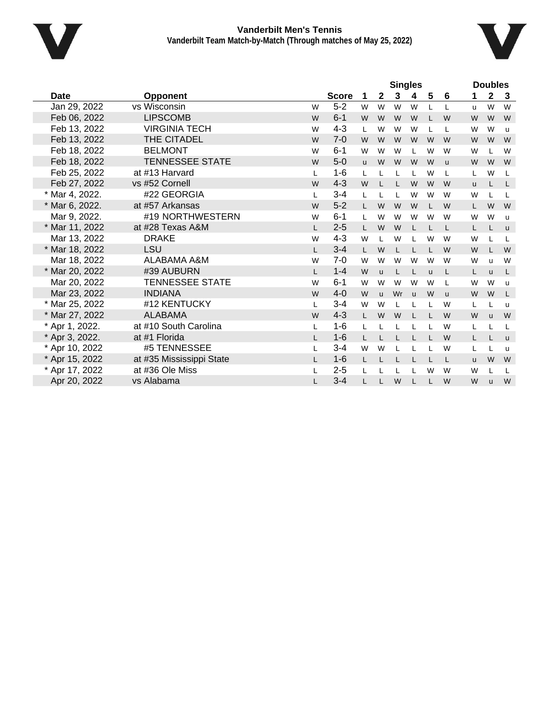



|                |                          |    |              |          |              | <b>Singles</b> |              |              |          |          | <b>Doubles</b> |              |
|----------------|--------------------------|----|--------------|----------|--------------|----------------|--------------|--------------|----------|----------|----------------|--------------|
| Date           | <b>Opponent</b>          |    | <b>Score</b> | 1        | $\mathbf{2}$ | 3              | 4            | 5            | 6        | 1        | 2              | 3            |
| Jan 29, 2022   | vs Wisconsin             | W  | $5 - 2$      | W        | W            | W              | W            | L            | L        | u        | W              | W            |
| Feb 06, 2022   | <b>LIPSCOMB</b>          | W  | $6 - 1$      | W        | W            | W              | W            |              | W        | W        | W              | W            |
| Feb 13, 2022   | <b>VIRGINIA TECH</b>     | W  | $4 - 3$      | L        | W            | W              | W            | L            | L        | W        | W              | <b>u</b>     |
| Feb 13, 2022   | THE CITADEL              | W  | $7-0$        | W        | W            | W              | W            | W            | W        | W        | W              | W            |
| Feb 18, 2022   | <b>BELMONT</b>           | W  | $6 - 1$      | W        | W            | W              | L            | W            | W        | W        |                | W            |
| Feb 18, 2022   | <b>TENNESSEE STATE</b>   | W  | $5 - 0$      | <b>u</b> | W            | W              | W            | W            | <b>u</b> | W        | W              | W            |
| Feb 25, 2022   | at #13 Harvard           | L  | $1 - 6$      | L        |              | L              | L            | W            | L        | L        | W              | L            |
| Feb 27, 2022   | vs #52 Cornell           | W  | $4 - 3$      | W        |              |                | W            | W            | W        | <b>u</b> |                | L            |
| * Mar 4, 2022. | #22 GEORGIA              | L  | $3 - 4$      | L        |              | L              | W            | W            | W        | W        |                | L            |
| * Mar 6, 2022. | at #57 Arkansas          | W  | $5 - 2$      | L.       | W            | W              | W            | L            | W        | L.       | W              | W            |
| Mar 9, 2022.   | #19 NORTHWESTERN         | W  | $6 - 1$      | L        | W            | W              | W            | W            | W        | W        | W              | $\mathbf{u}$ |
| * Mar 11, 2022 | at #28 Texas A&M         | L  | $2 - 5$      | L        | W            | W              | L            | T            | L        | L        |                | $\mathsf{u}$ |
| Mar 13, 2022   | <b>DRAKE</b>             | W  | $4 - 3$      | W        |              | W              | L            | W            | W        | W        |                | L            |
| * Mar 18, 2022 | <b>LSU</b>               |    | $3 - 4$      | L        | W            | $\mathbf{I}$   | L            | L            | W        | W        |                | W            |
| Mar 18, 2022   | ALABAMA A&M              | W  | $7-0$        | W        | W            | W              | W            | W            | W        | W        | u              | W            |
| * Mar 20, 2022 | #39 AUBURN               | L. | $1 - 4$      | W        | <b>u</b>     | L              | L            | $\mathbf{u}$ | L        | Г        | <b>u</b>       | L            |
| Mar 20, 2022   | <b>TENNESSEE STATE</b>   | W  | $6 - 1$      | W        | W            | W              | W            | W            | L        | W        | W              | u            |
| Mar 23, 2022   | <b>INDIANA</b>           | W  | $4 - 0$      | W        | u            | Wr             | $\mathsf{u}$ | W            | <b>u</b> | W        | W              | L            |
| * Mar 25, 2022 | #12 KENTUCKY             | L  | $3 - 4$      | W        | W            | L              | L            |              | W        | L        |                | $\mathbf{u}$ |
| * Mar 27, 2022 | <b>ALABAMA</b>           | W  | $4 - 3$      | L        | W            | W              | $\mathsf{L}$ |              | W        | W        | <b>u</b>       | W            |
| * Apr 1, 2022. | at #10 South Carolina    | L  | $1 - 6$      | L        |              |                | L            |              | W        | L        |                | L            |
| * Apr 3, 2022. | at #1 Florida            |    | $1 - 6$      | L        |              |                | L            |              | W        | L.       |                | $\mathsf{u}$ |
| * Apr 10, 2022 | #5 TENNESSEE             |    | $3 - 4$      | W        | W            |                | L            |              | W        | L        |                | <b>u</b>     |
| * Apr 15, 2022 | at #35 Mississippi State | L. | $1 - 6$      | L        |              | L              | L            |              | L        | u        | W              | W            |
| * Apr 17, 2022 | at #36 Ole Miss          | L  | $2 - 5$      | L        |              |                | L            | W            | W        | W        |                | L            |
| Apr 20, 2022   | vs Alabama               |    | $3 - 4$      | L        |              | W              | L            | L            | W        | W        | u              | W            |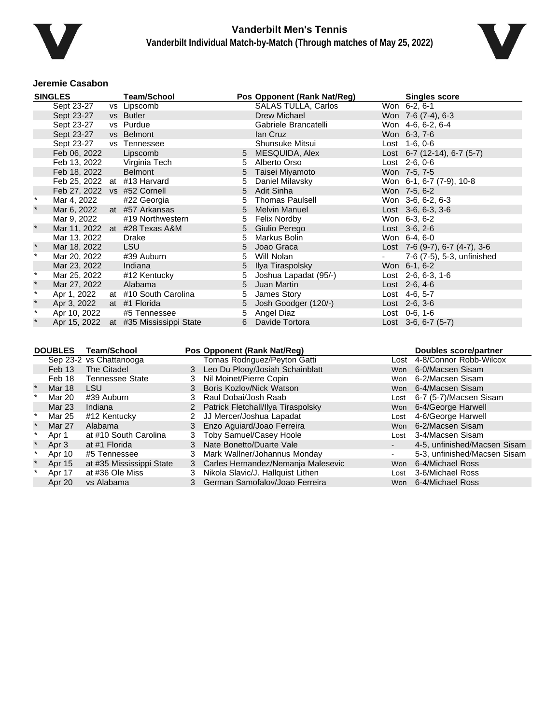



### **Jeremie Casabon**

|         | <b>SINGLES</b>                            |                    | <b>Team/School</b>                    |                |                                 | Pos Opponent (Rank Nat/Reg)                                 |                 |      | <b>Singles score</b>                                        |
|---------|-------------------------------------------|--------------------|---------------------------------------|----------------|---------------------------------|-------------------------------------------------------------|-----------------|------|-------------------------------------------------------------|
|         | Sept 23-27                                |                    | vs Lipscomb                           |                |                                 | <b>SALAS TULLA, Carlos</b>                                  | Won 6-2, 6-1    |      |                                                             |
|         | Sept 23-27                                |                    | vs Butler                             |                |                                 | Drew Michael                                                |                 |      | Won 7-6 (7-4), 6-3                                          |
|         | Sept 23-27                                |                    | vs Purdue                             |                |                                 | Gabriele Brancatelli                                        |                 |      | Won 4-6, 6-2, 6-4                                           |
|         | Sept 23-27                                |                    | vs Belmont                            |                |                                 | lan Cruz                                                    | Won 6-3, 7-6    |      |                                                             |
|         | Sept 23-27                                |                    | vs Tennessee                          |                |                                 | Shunsuke Mitsui                                             | Lost 1-6, 0-6   |      |                                                             |
|         | Feb 06, 2022                              |                    | Lipscomb                              |                | 5                               | MESQUIDA, Alex                                              |                 |      | Lost 6-7 (12-14), 6-7 (5-7)                                 |
|         | Feb 13, 2022                              |                    | Virginia Tech                         |                | 5                               | Alberto Orso                                                | Lost 2-6, 0-6   |      |                                                             |
|         | Feb 18, 2022                              |                    | <b>Belmont</b>                        |                | 5                               | Taisei Miyamoto                                             | Won 7-5, 7-5    |      |                                                             |
|         |                                           |                    | Feb 25, 2022 at #13 Harvard           |                | 5                               | Daniel Milavsky                                             |                 |      | Won 6-1, 6-7 (7-9), 10-8                                    |
|         |                                           |                    | Feb 27, 2022 vs #52 Cornell           |                | 5                               | Adit Sinha                                                  | Won 7-5, 6-2    |      |                                                             |
| $\ast$  | Mar 4, 2022                               |                    | #22 Georgia                           |                | 5                               | <b>Thomas Paulsell</b>                                      |                 |      | Won 3-6, 6-2, 6-3                                           |
|         | Mar 6, 2022                               |                    | at #57 Arkansas                       |                | 5                               | <b>Melvin Manuel</b>                                        |                 |      | Lost $3-6, 6-3, 3-6$                                        |
|         | Mar 9, 2022                               |                    | #19 Northwestern                      |                | 5                               | <b>Felix Nordby</b>                                         | Won 6-3, 6-2    |      |                                                             |
| $\star$ |                                           |                    | Mar 11, 2022 at #28 Texas A&M         |                | 5                               | Giulio Perego                                               | Lost 3-6, 2-6   |      |                                                             |
|         | Mar 13, 2022                              |                    | <b>Drake</b>                          |                | 5                               | Markus Bolin                                                | Won 6-4, 6-0    |      |                                                             |
|         | Mar 18, 2022                              |                    | LSU                                   |                | 5                               | Joao Graca                                                  |                 |      | Lost 7-6 (9-7), 6-7 (4-7), 3-6                              |
| $\star$ | Mar 20, 2022                              |                    | #39 Auburn                            |                | 5                               | Will Nolan                                                  |                 |      | 7-6 (7-5), 5-3, unfinished                                  |
|         | Mar 23, 2022                              |                    | Indiana                               |                | 5                               | Ilya Tiraspolsky                                            | Won 6-1, 6-2    |      |                                                             |
| $\star$ | Mar 25, 2022                              |                    | #12 Kentucky                          |                | 5                               | Joshua Lapadat (95/-)                                       |                 |      | Lost $2-6, 6-3, 1-6$                                        |
| $\star$ | Mar 27, 2022                              |                    | Alabama                               |                | 5                               | Juan Martin                                                 | Lost 2-6, 4-6   |      |                                                             |
| $\star$ | Apr 1, 2022                               |                    | at #10 South Carolina                 |                | 5                               | James Story                                                 | Lost 4-6, 5-7   |      |                                                             |
| $\star$ | Apr 3, 2022                               |                    | at #1 Florida                         |                | 5                               | Josh Goodger (120/-)                                        | Lost $2-6, 3-6$ |      |                                                             |
| $\star$ | Apr 10, 2022                              |                    | #5 Tennessee                          |                | 5                               | Angel Diaz                                                  | Lost 0-6, 1-6   |      |                                                             |
|         |                                           |                    | Apr 15, 2022 at #35 Mississippi State |                | 6                               | Davide Tortora                                              |                 |      | Lost 3-6, 6-7 (5-7)                                         |
|         | <b>DOUBLES</b><br>Sep 23-2 vs Chattanooga | <b>Team/School</b> |                                       |                |                                 | Pos Opponent (Rank Nat/Reg)<br>Tomas Rodriguez/Peyton Gatti |                 |      | <b>Doubles score/partner</b><br>Lost 4-8/Connor Robb-Wilcox |
|         | Feb 13                                    | The Citadel        |                                       |                |                                 | 3 Leo Du Plooy/Josiah Schainblatt                           |                 |      | Won 6-0/Macsen Sisam                                        |
|         | Feb 18                                    |                    | <b>Tennessee State</b>                | 3              | Nil Moinet/Pierre Copin         |                                                             |                 |      | Won 6-2/Macsen Sisam                                        |
|         | <b>Mar 18</b>                             | <b>LSU</b>         |                                       | 3              | <b>Boris Kozlov/Nick Watson</b> |                                                             |                 |      | Won 6-4/Macsen Sisam                                        |
| $\ast$  | Mar 20                                    | #39 Auburn         |                                       | 3              | Raul Dobai/Josh Raab            |                                                             |                 |      | 6-7 (5-7)/Macsen Sisam                                      |
|         | <b>Mar 23</b>                             | Indiana            |                                       | $\overline{2}$ |                                 | Patrick Fletchall/Ilya Tiraspolsky                          | Lost            |      | 6-4/George Harwell                                          |
|         | <b>Mar 25</b>                             | #12 Kentucky       |                                       | $\overline{2}$ |                                 | JJ Mercer/Joshua Lapadat                                    |                 | Won  |                                                             |
|         | Mar 27                                    | Alabama            |                                       | 3              |                                 |                                                             | Lost            |      | 4-6/George Harwell<br>6-2/Macsen Sisam                      |
| $\ast$  |                                           |                    |                                       | 3              |                                 | Enzo Aguiard/Joao Ferreira                                  |                 | Won  | 3-4/Macsen Sisam                                            |
| $\star$ | Apr 1                                     |                    | at #10 South Carolina                 |                |                                 | Toby Samuel/Casey Hoole                                     |                 | Lost |                                                             |
|         | Apr 3                                     | at #1 Florida      |                                       | 3              | Nate Bonetto/Duarte Vale        |                                                             | $\sim$          |      | 4-5, unfinished/Macsen Sisam                                |
|         | Apr 10                                    | #5 Tennessee       |                                       | 3              |                                 | Mark Wallner/Johannus Monday                                | $\blacksquare$  |      | 5-3, unfinished/Macsen Sisam                                |
|         | Apr 15                                    |                    | at #35 Mississippi State              | 3              |                                 | Carles Hernandez/Nemanja Malesevic                          |                 | Won  | 6-4/Michael Ross                                            |
|         | Apr 17                                    |                    | at #36 Ole Miss                       | 3              |                                 | Nikola Slavic/J. Hallquist Lithen                           | Lost            |      | 3-6/Michael Ross                                            |

Apr 20 vs Alabama 3 German Samofalov/Joao Ferreira Won 6-4/Michael Ross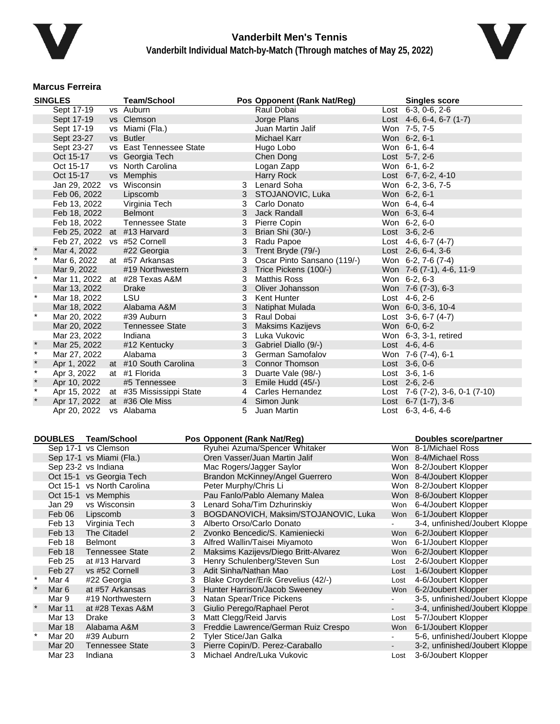



### **Marcus Ferreira**

|              | <b>SINGLES</b>              | <b>Team/School</b>            |           | Pos Opponent (Rank Nat/Reg) | <b>Singles score</b>                        |  |
|--------------|-----------------------------|-------------------------------|-----------|-----------------------------|---------------------------------------------|--|
|              | Sept 17-19                  | vs Auburn                     |           | Raul Dobai                  | Lost 6-3, 0-6, 2-6                          |  |
|              | Sept 17-19                  | vs Clemson                    |           | Jorge Plans                 | Lost 4-6, 6-4, 6-7 (1-7)                    |  |
|              | Sept 17-19                  | vs Miami (Fla.)               |           | Juan Martin Jalif           | Won 7-5, 7-5                                |  |
|              | Sept 23-27                  | vs Butler                     |           | <b>Michael Karr</b>         | Won 6-2, 6-1                                |  |
|              | Sept 23-27                  | vs East Tennessee State       |           | Hugo Lobo                   | Won 6-1, 6-4                                |  |
|              | Oct 15-17                   | vs Georgia Tech               |           | Chen Dong                   | Lost 5-7, 2-6                               |  |
|              | Oct 15-17                   | vs North Carolina             |           | Logan Zapp                  | Won 6-1, 6-2                                |  |
|              | Oct 15-17                   | vs Memphis                    |           | <b>Harry Rock</b>           | Lost 6-7, 6-2, 4-10                         |  |
|              | Jan 29, 2022                | vs Wisconsin                  | 3         | <b>Lenard Soha</b>          | Won 6-2, 3-6, 7-5                           |  |
|              | Feb 06, 2022                | Lipscomb                      | 3         | STOJANOVIC, Luka            | Won 6-2, 6-1                                |  |
|              | Feb 13, 2022                | Virginia Tech                 | 3         | Carlo Donato                | Won 6-4, 6-4                                |  |
|              | Feb 18, 2022                | <b>Belmont</b>                | 3         | Jack Randall                | Won 6-3, 6-4                                |  |
|              | Feb 18, 2022                | <b>Tennessee State</b>        | 3         | Pierre Copin                | Won 6-2, 6-0                                |  |
|              | Feb 25, 2022 at #13 Harvard |                               | 3         | Brian Shi (30/-)            | Lost 3-6, 2-6                               |  |
|              | Feb 27, 2022 vs #52 Cornell |                               | 3         | Radu Papoe                  | Lost $4-6, 6-7 (4-7)$                       |  |
|              | Mar 4, 2022                 | #22 Georgia                   | 3         | Trent Bryde (79/-)          | Lost $2-6, 6-4, 3-6$                        |  |
| $\star$      | Mar 6, 2022                 | at #57 Arkansas               | 3         | Oscar Pinto Sansano (119/-) | Won 6-2, 7-6 (7-4)                          |  |
|              | Mar 9, 2022                 | #19 Northwestern              | 3         | Trice Pickens (100/-)       | Won 7-6 (7-1), 4-6, 11-9                    |  |
| $\star$      |                             | Mar 11, 2022 at #28 Texas A&M | 3         | <b>Matthis Ross</b>         | Won 6-2, 6-3                                |  |
|              | Mar 13, 2022                | <b>Drake</b>                  | 3         | Oliver Johansson            | Won 7-6 (7-3), 6-3                          |  |
| $\star$      | Mar 18, 2022                | <b>LSU</b>                    | 3         | Kent Hunter                 | Lost $4-6, 2-6$                             |  |
|              | Mar 18, 2022                | Alabama A&M                   | 3         | Natiphat Mulada             | Won 6-0, 3-6, 10-4                          |  |
| $\star$      | Mar 20, 2022                | #39 Auburn                    | 3         | Raul Dobai                  | Lost $3-6, 6-7$ (4-7)                       |  |
|              | Mar 20, 2022                | <b>Tennessee State</b>        | 3         | <b>Maksims Kazijevs</b>     | Won 6-0, 6-2                                |  |
|              | Mar 23, 2022                | Indiana                       | 3         | Luka Vukovic                | Won 6-3, 3-1, retired                       |  |
| $\pmb{\ast}$ | Mar 25, 2022                | #12 Kentucky                  | 3         | Gabriel Diallo (9/-)        | Lost 4-6, 4-6                               |  |
| $\star$      | Mar 27, 2022                | Alabama                       | 3         | German Samofalov            | Won 7-6 (7-4), 6-1                          |  |
| $\star$      | Apr 1, 2022                 | at #10 South Carolina         | 3         | <b>Connor Thomson</b>       | Lost 3-6, 0-6                               |  |
| $\star$      | Apr 3, 2022                 | at #1 Florida                 | 3         | Duarte Vale (98/-)          | Lost 3-6, 1-6                               |  |
| $\star$      | Apr 10, 2022                | #5 Tennessee                  | 3         | Emile Hudd (45/-)           | Lost 2-6, 2-6                               |  |
| $\star$      | Apr 15, 2022                | at #35 Mississippi State      | 4         | Carles Hernandez            | Lost $7-6$ $(7-2)$ , $3-6$ , $0-1$ $(7-10)$ |  |
|              | Apr 17, 2022                | at #36 Ole Miss               | $4 \quad$ | Simon Junk                  | Lost $6-7$ (1-7), 3-6                       |  |
|              | Apr 20, 2022                | vs Alabama                    | 5         | Juan Martin                 | Lost $6-3, 4-6, 4-6$                        |  |

|         | <b>DOUBLES</b> | <b>Team/School</b>         |   | Pos Opponent (Rank Nat/Reg)          |                | <b>Doubles score/partner</b>   |
|---------|----------------|----------------------------|---|--------------------------------------|----------------|--------------------------------|
|         |                | Sep 17-1 vs Clemson        |   | Ryuhei Azuma/Spencer Whitaker        |                | Won 8-1/Michael Ross           |
|         |                | Sep 17-1 vs Miami (Fla.)   |   | Oren Vasser/Juan Martin Jalif        |                | Won 8-4/Michael Ross           |
|         |                | Sep 23-2 vs Indiana        |   | Mac Rogers/Jagger Saylor             |                | Won 8-2/Joubert Klopper        |
|         |                | Oct 15-1 vs Georgia Tech   |   | Brandon McKinney/Angel Guerrero      |                | Won 8-4/Joubert Klopper        |
|         |                | Oct 15-1 vs North Carolina |   | Peter Murphy/Chris Li                |                | Won 8-2/Joubert Klopper        |
|         |                | Oct 15-1 vs Memphis        |   | Pau Fanlo/Pablo Alemany Malea        |                | Won 8-6/Joubert Klopper        |
|         | Jan 29         | vs Wisconsin               | 3 | Lenard Soha/Tim Dzhurinskiy          | Won            | 6-4/Joubert Klopper            |
|         | Feb 06         | Lipscomb                   | 3 | BOGDANOVICH, Maksim/STOJANOVIC, Luka | Won            | 6-1/Joubert Klopper            |
|         | Feb 13         | Virginia Tech              |   | Alberto Orso/Carlo Donato            |                | 3-4, unfinished/Joubert Kloppe |
|         | Feb 13         | The Citadel                |   | Zvonko Bencedic/S. Kamieniecki       | Won            | 6-2/Joubert Klopper            |
|         | Feb 18         | Belmont                    | 3 | Alfred Wallin/Taisei Miyamoto        | Won            | 6-1/Joubert Klopper            |
|         | Feb 18         | <b>Tennessee State</b>     | 2 | Maksims Kazijevs/Diego Britt-Alvarez | Won            | 6-2/Joubert Klopper            |
|         | Feb 25         | at #13 Harvard             | 3 | Henry Schulenberg/Steven Sun         | Lost           | 2-6/Joubert Klopper            |
|         | Feb 27         | vs #52 Cornell             | 3 | Adit Sinha/Nathan Mao                | Lost           | 1-6/Joubert Klopper            |
| $\star$ | Mar 4          | #22 Georgia                | 3 | Blake Croyder/Erik Grevelius (42/-)  | Lost           | 4-6/Joubert Klopper            |
| $\star$ | Mar 6          | at #57 Arkansas            | 3 | Hunter Harrison/Jacob Sweeney        | Won            | 6-2/Joubert Klopper            |
|         | Mar 9          | #19 Northwestern           | 3 | Natan Spear/Trice Pickens            |                | 3-5, unfinished/Joubert Kloppe |
| $\star$ | <b>Mar 11</b>  | at #28 Texas A&M           | 3 | Giulio Perego/Raphael Perot          | $\blacksquare$ | 3-4, unfinished/Joubert Kloppe |
|         | <b>Mar 13</b>  | Drake                      | 3 | Matt Clegg/Reid Jarvis               | Lost           | 5-7/Joubert Klopper            |
|         | Mar 18         | Alabama A&M                | 3 | Freddie Lawrence/German Ruiz Crespo  | Won            | 6-1/Joubert Klopper            |
| $\star$ | Mar 20         | #39 Auburn                 | 2 | <b>Tyler Stice/Jan Galka</b>         |                | 5-6, unfinished/Joubert Kloppe |
|         | Mar 20         | <b>Tennessee State</b>     | 3 | Pierre Copin/D. Perez-Caraballo      | $\sim$         | 3-2, unfinished/Joubert Kloppe |
|         | Mar 23         | Indiana                    | 3 | Michael Andre/Luka Vukovic           | Lost           | 3-6/Joubert Klopper            |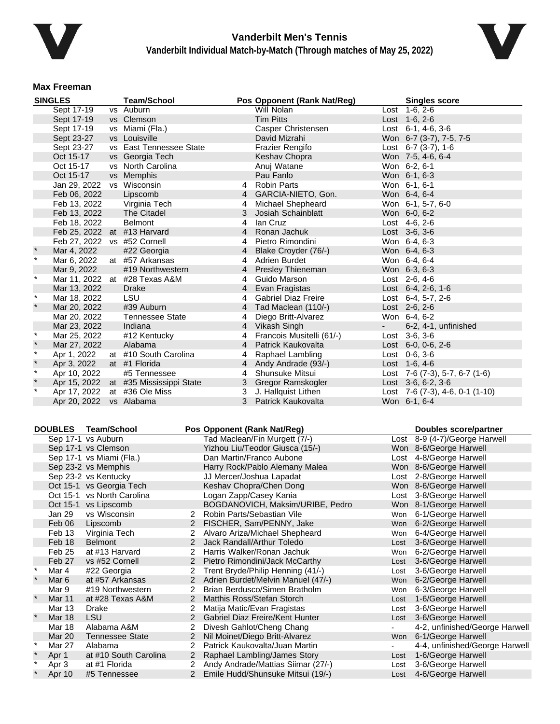



### **Max Freeman**

|              | <b>SINGLES</b>              |           | <b>Team/School</b>          |                | Pos Opponent (Rank Nat/Reg) |            | <b>Singles score</b>                  |  |
|--------------|-----------------------------|-----------|-----------------------------|----------------|-----------------------------|------------|---------------------------------------|--|
|              | Sept 17-19                  |           | vs Auburn                   |                | Will Nolan                  |            | Lost 1-6, 2-6                         |  |
|              | Sept 17-19                  |           | vs Clemson                  |                | <b>Tim Pitts</b>            |            | Lost 1-6, 2-6                         |  |
|              | Sept 17-19                  |           | vs Miami (Fla.)             |                | Casper Christensen          |            | Lost $6-1$ , $4-6$ , $3-6$            |  |
|              | Sept 23-27                  |           | vs Louisville               |                | David Mizrahi               |            | Won 6-7 (3-7), 7-5, 7-5               |  |
|              | Sept 23-27                  | <b>VS</b> | <b>East Tennessee State</b> |                | <b>Frazier Rengifo</b>      |            | Lost $6-7$ $(3-7)$ , $1-6$            |  |
|              | Oct 15-17                   |           | vs Georgia Tech             |                | Keshav Chopra               |            | Won 7-5, 4-6, 6-4                     |  |
|              | Oct 15-17                   |           | vs North Carolina           |                | Anuj Watane                 |            | Won 6-2, 6-1                          |  |
|              | Oct 15-17                   |           | vs Memphis                  |                | Pau Fanlo                   |            | Won 6-1, 6-3                          |  |
|              | Jan 29, 2022                |           | vs Wisconsin                | 4              | <b>Robin Parts</b>          |            | Won 6-1, 6-1                          |  |
|              | Feb 06, 2022                |           | Lipscomb                    | 4              | GARCIA-NIETO, Gon.          |            | Won 6-4, 6-4                          |  |
|              | Feb 13, 2022                |           | Virginia Tech               | 4              | Michael Shepheard           |            | Won 6-1, 5-7, 6-0                     |  |
|              | Feb 13, 2022                |           | The Citadel                 | 3              | Josiah Schainblatt          |            | Won 6-0, 6-2                          |  |
|              | Feb 18, 2022                |           | <b>Belmont</b>              | 4              | lan Cruz                    |            | Lost 4-6, 2-6                         |  |
|              | Feb 25, 2022 at #13 Harvard |           |                             | 4              | Ronan Jachuk                |            | Lost 3-6, 3-6                         |  |
|              | Feb 27, 2022 vs #52 Cornell |           |                             | 4              | Pietro Rimondini            |            | Won 6-4, 6-3                          |  |
|              | Mar 4, 2022                 |           | #22 Georgia                 | $4 \quad$      | Blake Croyder (76/-)        |            | Won 6-4, 6-3                          |  |
| $\star$      | Mar 6, 2022                 |           | at #57 Arkansas             | 4              | <b>Adrien Burdet</b>        |            | Won 6-4, 6-4                          |  |
|              | Mar 9, 2022                 |           | #19 Northwestern            | 4              | Presley Thieneman           |            | Won 6-3, 6-3                          |  |
| $\ast$       | Mar 11, 2022                |           | at #28 Texas A&M            | 4              | Guido Marson                |            | Lost 2-6, 4-6                         |  |
|              | Mar 13, 2022                |           | <b>Drake</b>                | $\overline{4}$ | Evan Fragistas              |            | Lost $6-4$ , 2-6, 1-6                 |  |
| $\star$      | Mar 18, 2022                |           | LSU                         | 4              | Gabriel Diaz Freire         |            | Lost 6-4, 5-7, 2-6                    |  |
| $\star$      | Mar 20, 2022                |           | #39 Auburn                  | 4              | Tad Maclean (110/-)         |            | Lost 2-6, 2-6                         |  |
|              | Mar 20, 2022                |           | <b>Tennessee State</b>      | 4              | Diego Britt-Alvarez         |            | Won 6-4, 6-2                          |  |
|              | Mar 23, 2022                |           | Indiana                     | $\overline{4}$ | Vikash Singh                | $\sim 100$ | 6-2, 4-1, unfinished                  |  |
| $\star$      | Mar 25, 2022                |           | #12 Kentucky                | 4              | Francois Musitelli (61/-)   |            | Lost $3-6, 3-6$                       |  |
| $\pmb{\ast}$ | Mar 27, 2022                |           | Alabama                     | 4              | Patrick Kaukovalta          |            | Lost $6-0$ , $0-6$ , $2-6$            |  |
| $\star$      | Apr 1, 2022                 |           | at #10 South Carolina       | 4              | Raphael Lambling            |            | $Last 0-6, 3-6$                       |  |
| $\pmb{\ast}$ | Apr 3, 2022                 |           | at #1 Florida               | 4              | Andy Andrade (93/-)         |            | Lost $1-6, 4-6$                       |  |
| $\ast$       | Apr 10, 2022                |           | #5 Tennessee                | 4              | <b>Shunsuke Mitsui</b>      |            | Lost $7-6$ $(7-3)$ , 5-7, 6-7 $(1-6)$ |  |
| $\star$      | Apr 15, 2022                |           | at #35 Mississippi State    | 3              | Gregor Ramskogler           |            | Lost $3-6, 6-2, 3-6$                  |  |
| $\star$      | Apr 17, 2022                |           | at #36 Ole Miss             | 3              | J. Hallquist Lithen         |            | Lost 7-6 (7-3), 4-6, 0-1 (1-10)       |  |
|              | Apr 20, 2022                |           | vs Alabama                  | 3              | Patrick Kaukovalta          |            | Won 6-1, 6-4                          |  |

| <b>DOUBLES</b> | <b>Team/School</b>         |                | Pos Opponent (Rank Nat/Reg)        |      | Doubles score/partner          |
|----------------|----------------------------|----------------|------------------------------------|------|--------------------------------|
|                | Sep 17-1 vs Auburn         |                | Tad Maclean/Fin Murgett (7/-)      |      | Lost 8-9 (4-7)/George Harwell  |
|                | Sep 17-1 vs Clemson        |                | Yizhou Liu/Teodor Giusca (15/-)    |      | Won 8-6/George Harwell         |
|                | Sep 17-1 vs Miami (Fla.)   |                | Dan Martin/Franco Aubone           |      | Lost 4-8/George Harwell        |
|                | Sep 23-2 vs Memphis        |                | Harry Rock/Pablo Alemany Malea     |      | Won 8-6/George Harwell         |
|                | Sep 23-2 vs Kentucky       |                | JJ Mercer/Joshua Lapadat           |      | Lost 2-8/George Harwell        |
|                | Oct 15-1 vs Georgia Tech   |                | Keshav Chopra/Chen Dong            |      | Won 8-6/George Harwell         |
|                | Oct 15-1 vs North Carolina |                | Logan Zapp/Casey Kania             |      | Lost 3-8/George Harwell        |
|                | Oct 15-1 vs Lipscomb       |                | BOGDANOVICH, Maksim/URIBE, Pedro   |      | Won 8-1/George Harwell         |
| Jan 29         | vs Wisconsin               |                | Robin Parts/Sebastian Vile         | Won  | 6-1/George Harwell             |
| Feb 06         | Lipscomb                   | $\overline{2}$ | FISCHER, Sam/PENNY, Jake           | Won  | 6-2/George Harwell             |
| Feb 13         | Virginia Tech              | 2              | Alvaro Ariza/Michael Shepheard     | Won  | 6-4/George Harwell             |
| Feb 18         | <b>Belmont</b>             | 2              | Jack Randall/Arthur Toledo         | Lost | 3-6/George Harwell             |
| Feb 25         | at #13 Harvard             | 2              | Harris Walker/Ronan Jachuk         | Won  | 6-2/George Harwell             |
| Feb 27         | vs #52 Cornell             | $\overline{2}$ | Pietro Rimondini/Jack McCarthy     | Lost | 3-6/George Harwell             |
| Mar 4          | #22 Georgia                | 2              | Trent Bryde/Philip Henning (41/-)  | Lost | 3-6/George Harwell             |
| Mar 6          | at #57 Arkansas            | 2              | Adrien Burdet/Melvin Manuel (47/-) | Won  | 6-2/George Harwell             |
| Mar 9          | #19 Northwestern           | 2              | Brian Berdusco/Simen Bratholm      | Won  | 6-3/George Harwell             |
| Mar 11         | at #28 Texas A&M           | $\overline{2}$ | Matthis Ross/Stefan Storch         | Lost | 1-6/George Harwell             |
| Mar 13         | Drake                      | 2              | Matija Matic/Evan Fragistas        | Lost | 3-6/George Harwell             |
| <b>Mar 18</b>  | <b>LSU</b>                 | 2              | Gabriel Diaz Freire/Kent Hunter    | Lost | 3-6/George Harwell             |
| <b>Mar 18</b>  | Alabama A&M                | 2              | Divesh Gahlot/Cheng Chang          |      | 4-2, unfinished/George Harwell |
| Mar 20         | <b>Tennessee State</b>     | $\overline{2}$ | Nil Moinet/Diego Britt-Alvarez     | Won  | 6-1/George Harwell             |
| Mar 27         | Alabama                    | 2              | Patrick Kaukovalta/Juan Martin     |      | 4-4, unfinished/George Harwell |
| Apr 1          | at #10 South Carolina      | 2              | Raphael Lambling/James Story       | Lost | 1-6/George Harwell             |
| Apr 3          | at #1 Florida              | 2              | Andy Andrade/Mattias Siimar (27/-) | Lost | 3-6/George Harwell             |
| Apr 10         | #5 Tennessee               | $\overline{2}$ | Emile Hudd/Shunsuke Mitsui (19/-)  |      | Lost 4-6/George Harwell        |
|                |                            |                |                                    |      |                                |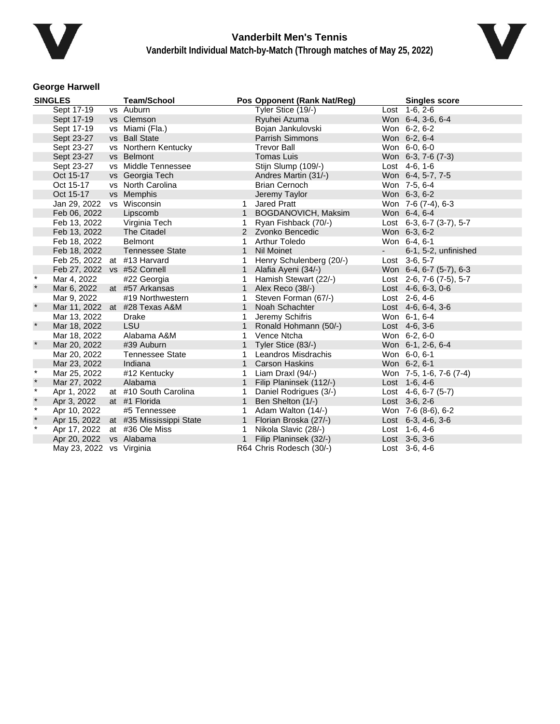



## **George Harwell**

|         | <b>SINGLES</b>               | <b>Team/School</b>                    |              | Pos Opponent (Rank Nat/Reg) |        | <b>Singles score</b>        |
|---------|------------------------------|---------------------------------------|--------------|-----------------------------|--------|-----------------------------|
|         | Sept 17-19                   | vs Auburn                             |              | Tyler Stice (19/-)          |        | Lost 1-6, 2-6               |
|         | Sept 17-19                   | vs Clemson                            |              | Ryuhei Azuma                |        | Won 6-4, 3-6, 6-4           |
|         | Sept 17-19                   | vs Miami (Fla.)                       |              | Bojan Jankulovski           |        | Won 6-2, 6-2                |
|         | Sept 23-27                   | vs Ball State                         |              | Parrish Simmons             |        | Won 6-2, 6-4                |
|         | Sept 23-27                   | vs Northern Kentucky                  |              | <b>Trevor Ball</b>          |        | Won 6-0, 6-0                |
|         | Sept 23-27                   | vs Belmont                            |              | <b>Tomas Luis</b>           |        | Won 6-3, 7-6 (7-3)          |
|         | Sept 23-27                   | vs Middle Tennessee                   |              | Stijn Slump (109/-)         |        | Lost 4-6, 1-6               |
|         | Oct 15-17                    | vs Georgia Tech                       |              | Andres Martin (31/-)        |        | Won 6-4, 5-7, 7-5           |
|         | Oct 15-17                    | vs North Carolina                     |              | <b>Brian Cernoch</b>        |        | Won 7-5, 6-4                |
|         | Oct 15-17                    | vs Memphis                            |              | Jeremy Taylor               |        | Won 6-3, 6-2                |
|         | Jan 29, 2022                 | vs Wisconsin                          | 1            | <b>Jared Pratt</b>          |        | Won 7-6 (7-4), 6-3          |
|         | Feb 06, 2022                 | Lipscomb                              | $\mathbf{1}$ | BOGDANOVICH, Maksim         |        | Won 6-4, 6-4                |
|         | Feb 13, 2022                 | Virginia Tech                         | 1            | Ryan Fishback (70/-)        |        | Lost 6-3, 6-7 (3-7), 5-7    |
|         | Feb 13, 2022                 | The Citadel                           |              | 2 Zvonko Bencedic           |        | Won 6-3, 6-2                |
|         | Feb 18, 2022                 | <b>Belmont</b>                        | 1            | <b>Arthur Toledo</b>        |        | Won 6-4, 6-1                |
|         | Feb 18, 2022                 | <b>Tennessee State</b>                | $\mathbf{1}$ | <b>Nil Moinet</b>           | $\sim$ | 6-1, 5-2, unfinished        |
|         | Feb 25, 2022 at #13 Harvard  |                                       | 1            | Henry Schulenberg (20/-)    |        | Lost 3-6, 5-7               |
|         | Feb 27, 2022 vs #52 Cornell  |                                       | $\mathbf{1}$ | Alafia Ayeni (34/-)         |        | Won 6-4, 6-7 (5-7), 6-3     |
| $\ast$  | Mar 4, 2022                  | #22 Georgia                           | 1            | Hamish Stewart (22/-)       |        | Lost 2-6, 7-6 $(7-5)$ , 5-7 |
| $\star$ | Mar 6, 2022                  | at #57 Arkansas                       | $\mathbf{1}$ | Alex Reco (38/-)            |        | Lost $4-6, 6-3, 0-6$        |
|         | Mar 9, 2022                  | #19 Northwestern                      | 1            | Steven Forman (67/-)        |        | Lost 2-6, 4-6               |
| $\star$ |                              | Mar 11, 2022 at #28 Texas A&M         | $\mathbf{1}$ | Noah Schachter              |        | Lost $4-6, 6-4, 3-6$        |
|         | Mar 13, 2022                 | <b>Drake</b>                          | 1            | Jeremy Schifris             |        | Won 6-1, 6-4                |
| $\ast$  | Mar 18, 2022                 | <b>LSU</b>                            |              | Ronald Hohmann (50/-)       |        | Lost 4-6, 3-6               |
|         | Mar 18, 2022                 | Alabama A&M                           | 1            | Vence Ntcha                 |        | Won 6-2, 6-0                |
| $\star$ | Mar 20, 2022                 | #39 Auburn                            | $\mathbf{1}$ | Tyler Stice (83/-)          |        | Won 6-1, 2-6, 6-4           |
|         | Mar 20, 2022                 | <b>Tennessee State</b>                | 1.           | Leandros Misdrachis         |        | Won 6-0, 6-1                |
|         | Mar 23, 2022                 | Indiana                               | 1            | <b>Carson Haskins</b>       |        | Won 6-2, 6-1                |
| $\star$ | Mar 25, 2022                 | #12 Kentucky                          | 1            | Liam Draxl (94/-)           |        | Won 7-5, 1-6, 7-6 (7-4)     |
| $\star$ | Mar 27, 2022                 | Alabama                               | $\mathbf{1}$ | Filip Planinsek (112/-)     |        | Lost $1-6, 4-6$             |
| $\star$ | Apr 1, 2022                  | at #10 South Carolina                 | 1            | Daniel Rodrigues (3/-)      |        | Lost 4-6, 6-7 (5-7)         |
| $\star$ | Apr 3, 2022                  | at #1 Florida                         | $\mathbf{1}$ | Ben Shelton (1/-)           |        | Lost $3-6, 2-6$             |
| $\star$ | Apr 10, 2022                 | #5 Tennessee                          | $\mathbf{1}$ | Adam Walton (14/-)          |        | Won 7-6 (8-6), 6-2          |
| $\star$ |                              | Apr 15, 2022 at #35 Mississippi State | 1            | Florian Broska (27/-)       |        | Lost 6-3, 4-6, 3-6          |
| $\star$ | Apr 17, 2022 at #36 Ole Miss |                                       | 1            | Nikola Slavic (28/-)        |        | Lost 1-6, 4-6               |
|         | Apr 20, 2022 vs Alabama      |                                       | $\mathbf{1}$ | Filip Planinsek (32/-)      |        | Lost 3-6, 3-6               |
|         | May 23, 2022 vs Virginia     |                                       |              | R64 Chris Rodesch (30/-)    |        | Lost $3-6, 4-6$             |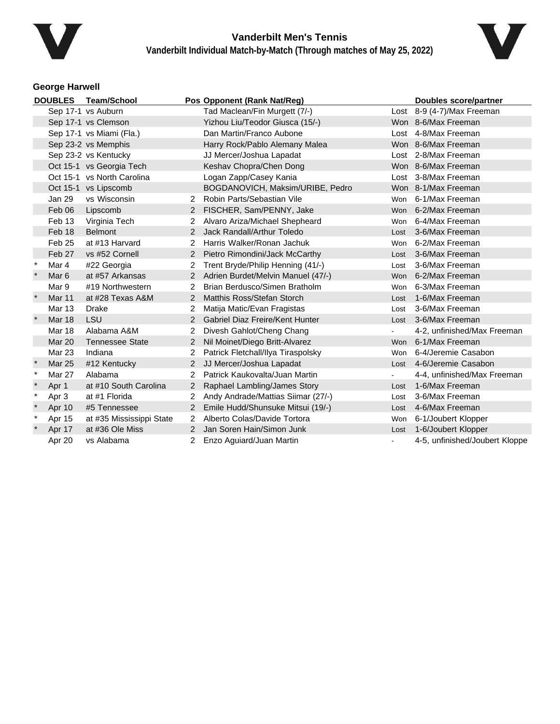



## **George Harwell**

| <b>DOUBLES</b> |                  | <b>Team/School</b>         |                      | Pos Opponent (Rank Nat/Reg)        |            | <b>Doubles score/partner</b>   |
|----------------|------------------|----------------------------|----------------------|------------------------------------|------------|--------------------------------|
|                |                  | Sep 17-1 vs Auburn         |                      | Tad Maclean/Fin Murgett (7/-)      |            | Lost 8-9 (4-7)/Max Freeman     |
|                |                  | Sep 17-1 vs Clemson        |                      | Yizhou Liu/Teodor Giusca (15/-)    |            | Won 8-6/Max Freeman            |
|                |                  | Sep 17-1 vs Miami (Fla.)   |                      | Dan Martin/Franco Aubone           |            | Lost 4-8/Max Freeman           |
|                |                  | Sep 23-2 vs Memphis        |                      | Harry Rock/Pablo Alemany Malea     |            | Won 8-6/Max Freeman            |
|                |                  | Sep 23-2 vs Kentucky       |                      | JJ Mercer/Joshua Lapadat           |            | Lost 2-8/Max Freeman           |
|                |                  | Oct 15-1 vs Georgia Tech   |                      | Keshav Chopra/Chen Dong            |            | Won 8-6/Max Freeman            |
|                |                  | Oct 15-1 vs North Carolina |                      | Logan Zapp/Casey Kania             |            | Lost 3-8/Max Freeman           |
|                |                  | Oct 15-1 vs Lipscomb       |                      | BOGDANOVICH, Maksim/URIBE, Pedro   |            | Won 8-1/Max Freeman            |
|                | Jan 29           | vs Wisconsin               | 2                    | Robin Parts/Sebastian Vile         | Won        | 6-1/Max Freeman                |
|                | Feb 06           | Lipscomb                   |                      | FISCHER, Sam/PENNY, Jake           |            | Won 6-2/Max Freeman            |
|                | Feb 13           | Virginia Tech              | $\mathbf{2}^{\circ}$ | Alvaro Ariza/Michael Shepheard     |            | Won 6-4/Max Freeman            |
|                | Feb 18           | <b>Belmont</b>             | $\mathcal{P}$        | Jack Randall/Arthur Toledo         | Lost       | 3-6/Max Freeman                |
|                | Feb 25           | at #13 Harvard             | 2                    | Harris Walker/Ronan Jachuk         | Won        | 6-2/Max Freeman                |
|                | Feb 27           | vs #52 Cornell             | $\overline{2}$       | Pietro Rimondini/Jack McCarthy     |            | Lost 3-6/Max Freeman           |
| $\ast$         | Mar 4            | #22 Georgia                |                      | Trent Bryde/Philip Henning (41/-)  | Lost       | 3-6/Max Freeman                |
| $\star$        | Mar <sub>6</sub> | at #57 Arkansas            | 2                    | Adrien Burdet/Melvin Manuel (47/-) | Won        | 6-2/Max Freeman                |
|                | Mar 9            | #19 Northwestern           | 2                    | Brian Berdusco/Simen Bratholm      | Won        | 6-3/Max Freeman                |
|                | <b>Mar 11</b>    | at #28 Texas A&M           | 2                    | Matthis Ross/Stefan Storch         | Lost       | 1-6/Max Freeman                |
|                | <b>Mar 13</b>    | <b>Drake</b>               | 2                    | Matija Matic/Evan Fragistas        | Lost       | 3-6/Max Freeman                |
|                | Mar 18           | <b>LSU</b>                 | 2                    | Gabriel Diaz Freire/Kent Hunter    | Lost       | 3-6/Max Freeman                |
|                | <b>Mar 18</b>    | Alabama A&M                | 2                    | Divesh Gahlot/Cheng Chang          | $\sim$     | 4-2, unfinished/Max Freeman    |
|                | <b>Mar 20</b>    | <b>Tennessee State</b>     | 2                    | Nil Moinet/Diego Britt-Alvarez     |            | Won 6-1/Max Freeman            |
|                | Mar 23           | Indiana                    | $\overline{2}$       | Patrick Fletchall/Ilya Tiraspolsky | <b>Won</b> | 6-4/Jeremie Casabon            |
|                | <b>Mar 25</b>    | #12 Kentucky               | 2                    | JJ Mercer/Joshua Lapadat           | Lost       | 4-6/Jeremie Casabon            |
| $\ast$         | <b>Mar 27</b>    | Alabama                    | 2                    | Patrick Kaukovalta/Juan Martin     |            | 4-4, unfinished/Max Freeman    |
|                | Apr 1            | at #10 South Carolina      | 2                    | Raphael Lambling/James Story       | Lost       | 1-6/Max Freeman                |
| $\star$        | Apr 3            | at #1 Florida              |                      | Andy Andrade/Mattias Siimar (27/-) | Lost       | 3-6/Max Freeman                |
|                | Apr 10           | #5 Tennessee               | $\overline{2}$       | Emile Hudd/Shunsuke Mitsui (19/-)  | Lost       | 4-6/Max Freeman                |
| $\ast$         | Apr 15           | at #35 Mississippi State   | 2                    | Alberto Colas/Davide Tortora       | Won        | 6-1/Joubert Klopper            |
|                | Apr 17           | at #36 Ole Miss            | $\mathcal{P}$        | Jan Soren Hain/Simon Junk          | Lost       | 1-6/Joubert Klopper            |
|                | Apr 20           | vs Alabama                 |                      | Enzo Aguiard/Juan Martin           |            | 4-5, unfinished/Joubert Kloppe |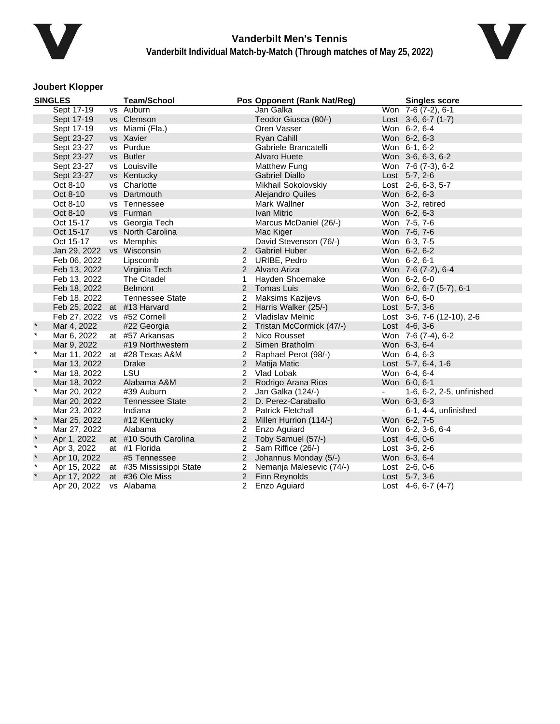



### **Joubert Klopper**

|              | <b>SINGLES</b>              | <b>Team/School</b>            |                | Pos Opponent (Rank Nat/Reg) |                | <b>Singles score</b>            |
|--------------|-----------------------------|-------------------------------|----------------|-----------------------------|----------------|---------------------------------|
|              | Sept 17-19                  | vs Auburn                     |                | Jan Galka                   |                | Won 7-6 (7-2), 6-1              |
|              | Sept 17-19                  | vs Clemson                    |                | Teodor Giusca (80/-)        |                | Lost $3-6, 6-7$ (1-7)           |
|              | Sept 17-19                  | vs Miami (Fla.)               |                | Oren Vasser                 |                | Won 6-2, 6-4                    |
|              | Sept 23-27                  | vs Xavier                     |                | Ryan Cahill                 |                | Won 6-2, 6-3                    |
|              | Sept 23-27                  | vs Purdue                     |                | Gabriele Brancatelli        |                | Won 6-1, 6-2                    |
|              | Sept 23-27                  | vs Butler                     |                | Alvaro Huete                |                | Won 3-6, 6-3, 6-2               |
|              | Sept 23-27                  | vs Louisville                 |                | Matthew Fung                |                | Won 7-6 (7-3), 6-2              |
|              | Sept 23-27                  | vs Kentucky                   |                | <b>Gabriel Diallo</b>       |                | Lost 5-7, 2-6                   |
|              | Oct 8-10                    | vs Charlotte                  |                | Mikhail Sokolovskiy         |                | Lost 2-6, 6-3, 5-7              |
|              | Oct 8-10                    | vs Dartmouth                  |                | Alejandro Quiles            |                | Won 6-2, 6-3                    |
|              | Oct 8-10                    | vs Tennessee                  |                | Mark Wallner                |                | Won 3-2, retired                |
|              | Oct 8-10                    | vs Furman                     |                | Ivan Mitric                 |                | Won 6-2, 6-3                    |
|              | Oct 15-17                   | vs Georgia Tech               |                | Marcus McDaniel (26/-)      |                | Won 7-5, 7-6                    |
|              | Oct 15-17                   | vs North Carolina             |                | Mac Kiger                   |                | Won 7-6, 7-6                    |
|              | Oct 15-17                   | vs Memphis                    |                | David Stevenson (76/-)      |                | Won 6-3, 7-5                    |
|              | Jan 29, 2022                | vs Wisconsin                  |                | 2 Gabriel Huber             |                | Won 6-2, 6-2                    |
|              | Feb 06, 2022                | Lipscomb                      | 2              | URIBE, Pedro                |                | Won 6-2, 6-1                    |
|              | Feb 13, 2022                | Virginia Tech                 |                | 2 Alvaro Ariza              |                | Won 7-6 (7-2), 6-4              |
|              | Feb 13, 2022                | The Citadel                   | 1              | Hayden Shoemake             |                | Won 6-2, 6-0                    |
|              | Feb 18, 2022                | <b>Belmont</b>                |                | 2 Tomas Luis                |                | Won 6-2, 6-7 (5-7), 6-1         |
|              | Feb 18, 2022                | <b>Tennessee State</b>        | 2              | <b>Maksims Kazijevs</b>     |                | Won 6-0, 6-0                    |
|              | Feb 25, 2022 at #13 Harvard |                               |                | 2 Harris Walker (25/-)      |                | Lost $5-7, 3-6$                 |
|              | Feb 27, 2022 vs #52 Cornell |                               | 2              | Vladislav Melnic            |                | Lost $3-6$ , $7-6$ (12-10), 2-6 |
| $\star$      | Mar 4, 2022                 | #22 Georgia                   | $\overline{2}$ | Tristan McCormick (47/-)    |                | Lost 4-6, 3-6                   |
| $\star$      | Mar 6, 2022                 | at #57 Arkansas               | 2              | Nico Rousset                |                | Won 7-6 (7-4), 6-2              |
|              | Mar 9, 2022                 | #19 Northwestern              | $\overline{2}$ | Simen Bratholm              |                | Won 6-3, 6-4                    |
| $\star$      |                             | Mar 11, 2022 at #28 Texas A&M | 2              | Raphael Perot (98/-)        |                | Won 6-4, 6-3                    |
|              | Mar 13, 2022                | <b>Drake</b>                  |                | 2 Matija Matic              |                | Lost 5-7, 6-4, 1-6              |
| $\star$      | Mar 18, 2022                | LSU                           |                | 2 Vlad Lobak                |                | Won 6-4, 6-4                    |
|              | Mar 18, 2022                | Alabama A&M                   | 2              | Rodrigo Arana Rios          |                | Won 6-0, 6-1                    |
| $\star$      | Mar 20, 2022                | #39 Auburn                    | 2              | Jan Galka (124/-)           | $\blacksquare$ | 1-6, 6-2, 2-5, unfinished       |
|              | Mar 20, 2022                | <b>Tennessee State</b>        |                | 2 D. Perez-Caraballo        |                | Won 6-3, 6-3                    |
|              | Mar 23, 2022                | Indiana                       | 2              | <b>Patrick Fletchall</b>    |                | 6-1, 4-4, unfinished            |
| $\pmb{\ast}$ | Mar 25, 2022                | #12 Kentucky                  | $2^{\circ}$    | Millen Hurrion (114/-)      |                | Won 6-2, 7-5                    |
| $\star$      | Mar 27, 2022                | Alabama                       | 2              | Enzo Aguiard                |                | Won 6-2, 3-6, 6-4               |
| $\star$      | Apr 1, 2022                 | at #10 South Carolina         | $\overline{2}$ | Toby Samuel (57/-)          |                | Lost 4-6, 0-6                   |
| $\star$      | Apr 3, 2022                 | at #1 Florida                 | 2              | Sam Riffice (26/-)          |                | Lost 3-6, 2-6                   |
| $\star$      | Apr 10, 2022                | #5 Tennessee                  | $\overline{2}$ | Johannus Monday (5/-)       |                | Won 6-3, 6-4                    |
| $\star$      | Apr 15, 2022                | at #35 Mississippi State      | 2              | Nemanja Malesevic (74/-)    |                | Lost $2-6, 0-6$                 |
| $\star$      | Apr 17, 2022                | at #36 Ole Miss               | $\overline{2}$ | <b>Finn Reynolds</b>        |                | Lost $5-7, 3-6$                 |
|              | Apr 20, 2022                | vs Alabama                    | $\overline{2}$ | Enzo Aguiard                |                | Lost $4-6, 6-7 (4-7)$           |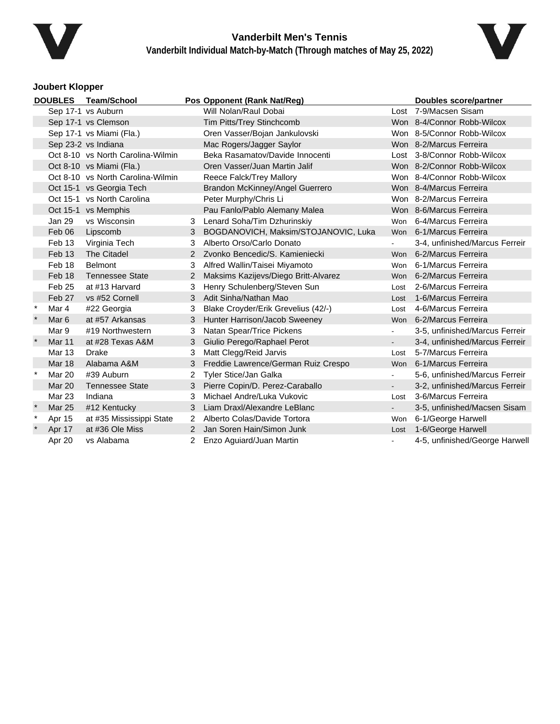



### **Joubert Klopper**

| <b>Team/School</b><br><b>DOUBLES</b> |                  |                                   | Pos Opponent (Rank Nat/Reg) |                                      | <b>Doubles score/partner</b> |                                |
|--------------------------------------|------------------|-----------------------------------|-----------------------------|--------------------------------------|------------------------------|--------------------------------|
|                                      |                  | Sep 17-1 vs Auburn                |                             | Will Nolan/Raul Dobai                |                              | Lost 7-9/Macsen Sisam          |
|                                      |                  | Sep 17-1 vs Clemson               |                             | Tim Pitts/Trey Stinchcomb            |                              | Won 8-4/Connor Robb-Wilcox     |
|                                      |                  | Sep 17-1 vs Miami (Fla.)          |                             | Oren Vasser/Bojan Jankulovski        |                              | Won 8-5/Connor Robb-Wilcox     |
|                                      |                  | Sep 23-2 vs Indiana               |                             | Mac Rogers/Jagger Saylor             |                              | Won 8-2/Marcus Ferreira        |
|                                      |                  | Oct 8-10 vs North Carolina-Wilmin |                             | Beka Rasamatov/Davide Innocenti      |                              | Lost 3-8/Connor Robb-Wilcox    |
|                                      |                  | Oct 8-10 vs Miami (Fla.)          |                             | Oren Vasser/Juan Martin Jalif        |                              | Won 8-2/Connor Robb-Wilcox     |
|                                      |                  | Oct 8-10 vs North Carolina-Wilmin |                             | Reece Falck/Trey Mallory             |                              | Won 8-4/Connor Robb-Wilcox     |
|                                      |                  | Oct 15-1 vs Georgia Tech          |                             | Brandon McKinney/Angel Guerrero      |                              | Won 8-4/Marcus Ferreira        |
|                                      |                  | Oct 15-1 vs North Carolina        |                             | Peter Murphy/Chris Li                |                              | Won 8-2/Marcus Ferreira        |
|                                      |                  | Oct 15-1 vs Memphis               |                             | Pau Fanlo/Pablo Alemany Malea        |                              | Won 8-6/Marcus Ferreira        |
|                                      | Jan 29           | vs Wisconsin                      | 3                           | Lenard Soha/Tim Dzhurinskiy          |                              | Won 6-4/Marcus Ferreira        |
|                                      | Feb 06           | Lipscomb                          | 3                           | BOGDANOVICH, Maksim/STOJANOVIC, Luka |                              | Won 6-1/Marcus Ferreira        |
|                                      | Feb 13           | Virginia Tech                     | 3                           | Alberto Orso/Carlo Donato            |                              | 3-4, unfinished/Marcus Ferreir |
|                                      | Feb 13           | <b>The Citadel</b>                | 2                           | Zvonko Bencedic/S. Kamieniecki       | Won                          | 6-2/Marcus Ferreira            |
|                                      | Feb 18           | <b>Belmont</b>                    | 3                           | Alfred Wallin/Taisei Miyamoto        | Won                          | 6-1/Marcus Ferreira            |
|                                      | Feb 18           | <b>Tennessee State</b>            | 2                           | Maksims Kazijevs/Diego Britt-Alvarez |                              | Won 6-2/Marcus Ferreira        |
|                                      | Feb 25           | at #13 Harvard                    | 3                           | Henry Schulenberg/Steven Sun         | Lost                         | 2-6/Marcus Ferreira            |
|                                      | Feb 27           | vs #52 Cornell                    | 3                           | Adit Sinha/Nathan Mao                | Lost                         | 1-6/Marcus Ferreira            |
| $\ast$                               | Mar 4            | #22 Georgia                       | 3                           | Blake Croyder/Erik Grevelius (42/-)  | Lost                         | 4-6/Marcus Ferreira            |
|                                      | Mar <sub>6</sub> | at #57 Arkansas                   | 3                           | Hunter Harrison/Jacob Sweeney        | <b>Won</b>                   | 6-2/Marcus Ferreira            |
|                                      | Mar 9            | #19 Northwestern                  | 3                           | Natan Spear/Trice Pickens            | $\blacksquare$               | 3-5, unfinished/Marcus Ferreir |
| $\ast$                               | <b>Mar 11</b>    | at #28 Texas A&M                  | 3                           | Giulio Perego/Raphael Perot          |                              | 3-4, unfinished/Marcus Ferreir |
|                                      | Mar 13           | <b>Drake</b>                      | 3                           | Matt Clegg/Reid Jarvis               | Lost                         | 5-7/Marcus Ferreira            |
|                                      | <b>Mar 18</b>    | Alabama A&M                       | 3                           | Freddie Lawrence/German Ruiz Crespo  | <b>Won</b>                   | 6-1/Marcus Ferreira            |
| $\star$                              | Mar 20           | #39 Auburn                        | 2                           | Tyler Stice/Jan Galka                |                              | 5-6, unfinished/Marcus Ferreir |
|                                      | <b>Mar 20</b>    | <b>Tennessee State</b>            | 3                           | Pierre Copin/D. Perez-Caraballo      |                              | 3-2, unfinished/Marcus Ferreir |
|                                      | <b>Mar 23</b>    | Indiana                           | 3                           | Michael Andre/Luka Vukovic           | Lost                         | 3-6/Marcus Ferreira            |
|                                      | <b>Mar 25</b>    | #12 Kentucky                      | 3                           | Liam Draxl/Alexandre LeBlanc         |                              | 3-5, unfinished/Macsen Sisam   |
| $\ast$                               | Apr 15           | at #35 Mississippi State          | $\overline{2}$              | Alberto Colas/Davide Tortora         | Won                          | 6-1/George Harwell             |
|                                      | Apr 17           | at #36 Ole Miss                   | $\mathcal{P}$               | Jan Soren Hain/Simon Junk            | Lost                         | 1-6/George Harwell             |
|                                      | Apr 20           | vs Alabama                        |                             | Enzo Aguiard/Juan Martin             |                              | 4-5, unfinished/George Harwell |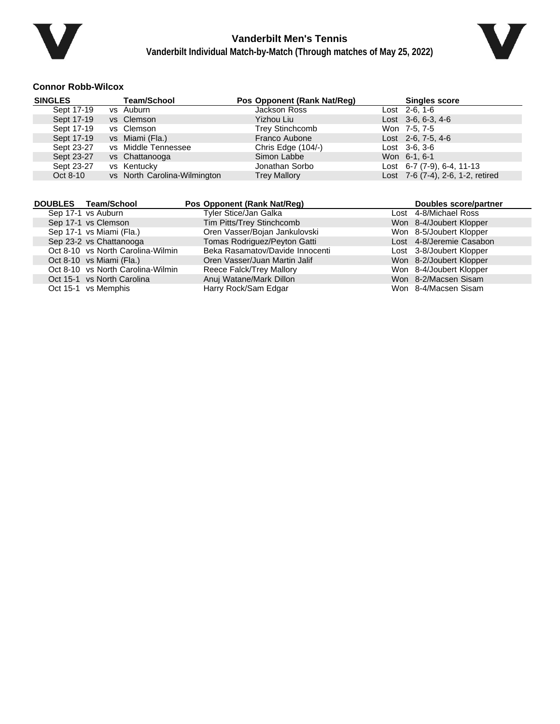



### **Connor Robb-Wilcox**

| <b>SINGLES</b> | <b>Team/School</b>           | Pos Opponent (Rank Nat/Reg) | <b>Singles score</b>              |
|----------------|------------------------------|-----------------------------|-----------------------------------|
| Sept 17-19     | vs Auburn                    | Jackson Ross                | Lost 2-6, 1-6                     |
| Sept 17-19     | vs Clemson                   | <b>Yizhou Liu</b>           | Lost $3-6, 6-3, 4-6$              |
| Sept 17-19     | vs Clemson                   | <b>Trey Stinchcomb</b>      | Won 7-5, 7-5                      |
| Sept 17-19     | vs Miami (Fla.)              | Franco Aubone               | Lost 2-6, 7-5, 4-6                |
| Sept 23-27     | vs Middle Tennessee          | Chris Edge (104/-)          | $Last \, 3-6, 3-6$                |
| Sept 23-27     | vs Chattanooga               | Simon Labbe                 | Won 6-1, 6-1                      |
| Sept 23-27     | vs Kentucky                  | Jonathan Sorbo              | Lost $6-7$ (7-9), $6-4$ , 11-13   |
| Oct 8-10       | vs North Carolina-Wilmington | <b>Trey Mallory</b>         | Lost 7-6 (7-4), 2-6, 1-2, retired |

| DOUBLES Team/School               | Pos Opponent (Rank Nat/Reg)     | Doubles score/partner    |
|-----------------------------------|---------------------------------|--------------------------|
| Sep 17-1 vs Auburn                | Tyler Stice/Jan Galka           | Lost 4-8/Michael Ross    |
| Sep 17-1 vs Clemson               | Tim Pitts/Trey Stinchcomb       | Won 8-4/Joubert Klopper  |
| Sep 17-1 vs Miami (Fla.)          | Oren Vasser/Bojan Jankulovski   | Won 8-5/Joubert Klopper  |
| Sep 23-2 vs Chattanooga           | Tomas Rodriguez/Peyton Gatti    | Lost 4-8/Jeremie Casabon |
| Oct 8-10 vs North Carolina-Wilmin | Beka Rasamatov/Davide Innocenti | Lost 3-8/Joubert Klopper |
| Oct 8-10 vs Miami (Fla.)          | Oren Vasser/Juan Martin Jalif   | Won 8-2/Joubert Klopper  |
| Oct 8-10 vs North Carolina-Wilmin | Reece Falck/Trey Mallory        | Won 8-4/Joubert Klopper  |
| Oct 15-1 vs North Carolina        | Anuj Watane/Mark Dillon         | Won 8-2/Macsen Sisam     |
| Oct 15-1 vs Memphis               | Harry Rock/Sam Edgar            | Won 8-4/Macsen Sisam     |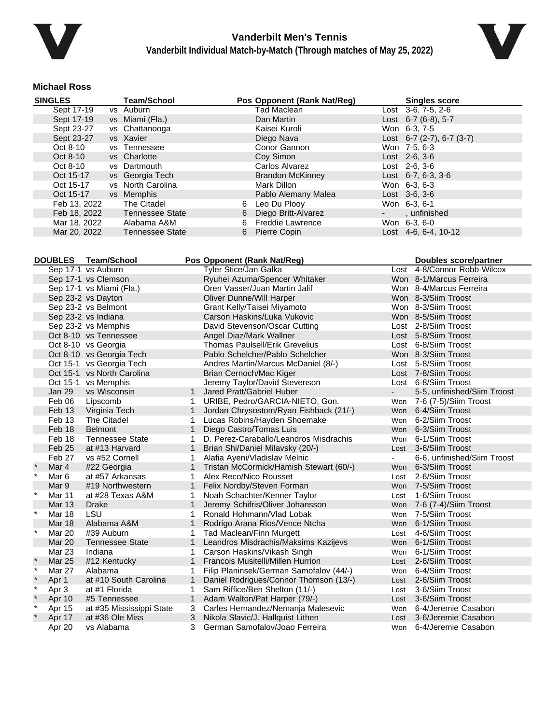



### **Michael Ross**

| <b>SINGLES</b> | <b>Team/School</b>     |   | Pos Opponent (Rank Nat/Reg) | <b>Singles score</b>           |
|----------------|------------------------|---|-----------------------------|--------------------------------|
| Sept 17-19     | vs Auburn              |   | Tad Maclean                 | Lost $3-6, 7-5, 2-6$           |
| Sept 17-19     | vs Miami (Fla.)        |   | Dan Martin                  | Lost $6-7$ (6-8), 5-7          |
| Sept 23-27     | vs Chattanooga         |   | Kaisei Kuroli               | Won 6-3, 7-5                   |
| Sept 23-27     | vs Xavier              |   | Diego Nava                  | Lost 6-7 $(2-7)$ , 6-7 $(3-7)$ |
| Oct 8-10       | vs Tennessee           |   | Conor Gannon                | Won 7-5, 6-3                   |
| Oct 8-10       | vs Charlotte           |   | Coy Simon                   | $Last \, 2-6, 3-6$             |
| Oct 8-10       | vs Dartmouth           |   | Carlos Alvarez              | $Last 2-6, 3-6$                |
| Oct 15-17      | vs Georgia Tech        |   | <b>Brandon McKinney</b>     | Lost $6-7, 6-3, 3-6$           |
| Oct 15-17      | vs North Carolina      |   | Mark Dillon                 | Won 6-3, 6-3                   |
| Oct 15-17      | vs Memphis             |   | Pablo Alemany Malea         | $Last \, 3-6, 3-6$             |
| Feb 13, 2022   | The Citadel            | 6 | Leo Du Plooy                | Won 6-3, 6-1                   |
| Feb 18, 2022   | <b>Tennessee State</b> | 6 | Diego Britt-Alvarez         | , unfinished                   |
| Mar 18, 2022   | Alabama A&M            | 6 | <b>Freddie Lawrence</b>     | Won 6-3, 6-0                   |
| Mar 20, 2022   | <b>Tennessee State</b> | 6 | Pierre Copin                | Lost $4-6.6-4.10-12$           |

|          | <b>DOUBLES</b><br>Team/School<br>Pos Opponent (Rank Nat/Reg) |                            |              |                                         |            | <b>Doubles score/partner</b> |
|----------|--------------------------------------------------------------|----------------------------|--------------|-----------------------------------------|------------|------------------------------|
|          |                                                              | Sep 17-1 vs Auburn         |              | Tyler Stice/Jan Galka                   |            | Lost 4-8/Connor Robb-Wilcox  |
|          |                                                              | Sep 17-1 vs Clemson        |              | Ryuhei Azuma/Spencer Whitaker           |            | Won 8-1/Marcus Ferreira      |
|          |                                                              | Sep 17-1 vs Miami (Fla.)   |              | Oren Vasser/Juan Martin Jalif           |            | Won 8-4/Marcus Ferreira      |
|          |                                                              | Sep 23-2 vs Dayton         |              | Oliver Dunne/Will Harper                |            | Won 8-3/Siim Troost          |
|          |                                                              | Sep 23-2 vs Belmont        |              | Grant Kelly/Taisei Miyamoto             |            | Won 8-3/Siim Troost          |
|          |                                                              | Sep 23-2 vs Indiana        |              | Carson Haskins/Luka Vukovic             |            | Won 8-5/Siim Troost          |
|          |                                                              | Sep 23-2 vs Memphis        |              | David Stevenson/Oscar Cutting           |            | Lost 2-8/Siim Troost         |
|          |                                                              | Oct 8-10 vs Tennessee      |              | Angel Diaz/Mark Wallner                 |            | Lost 5-8/Siim Troost         |
|          |                                                              | Oct 8-10 vs Georgia        |              | <b>Thomas Paulsell/Erik Grevelius</b>   |            | Lost 6-8/Siim Troost         |
|          |                                                              | Oct 8-10 vs Georgia Tech   |              | Pablo Schelcher/Pablo Schelcher         |            | Won 8-3/Siim Troost          |
|          |                                                              | Oct 15-1 vs Georgia Tech   |              | Andres Martin/Marcus McDaniel (8/-)     |            | Lost 5-8/Siim Troost         |
|          |                                                              | Oct 15-1 vs North Carolina |              | Brian Cernoch/Mac Kiger                 |            | Lost 7-8/Siim Troost         |
|          |                                                              | Oct 15-1 vs Memphis        |              | Jeremy Taylor/David Stevenson           |            | Lost 6-8/Siim Troost         |
|          | <b>Jan 29</b>                                                | vs Wisconsin               |              | Jared Pratt/Gabriel Huber               |            | 5-5, unfinished/Siim Troost  |
|          | Feb 06                                                       | Lipscomb                   | $\mathbf 1$  | URIBE, Pedro/GARCIA-NIETO, Gon.         |            | Won 7-6 (7-5)/Siim Troost    |
|          | Feb 13                                                       | Virginia Tech              | $\mathbf{1}$ | Jordan Chrysostom/Ryan Fishback (21/-)  |            | Won 6-4/Siim Troost          |
|          | Feb 13                                                       | The Citadel                | 1            | Lucas Robins/Hayden Shoemake            | Won        | 6-2/Siim Troost              |
|          | Feb 18                                                       | <b>Belmont</b>             | $\mathbf{1}$ | Diego Castro/Tomas Luis                 | Won        | 6-3/Siim Troost              |
|          | Feb 18                                                       | <b>Tennessee State</b>     |              | D. Perez-Caraballo/Leandros Misdrachis  | <b>Won</b> | 6-1/Siim Troost              |
|          | Feb 25                                                       | at #13 Harvard             | $\mathbf{1}$ | Brian Shi/Daniel Milavsky (20/-)        | Lost       | 3-6/Siim Troost              |
|          | Feb 27                                                       | vs #52 Cornell             | 1            | Alafia Ayeni/Vladislav Melnic           |            | 6-6, unfinished/Siim Troost  |
|          | Mar 4                                                        | #22 Georgia                | $\mathbf{1}$ | Tristan McCormick/Hamish Stewart (60/-) |            | Won 6-3/Siim Troost          |
| $\star$  | Mar 6                                                        | at #57 Arkansas            | $\mathbf 1$  | Alex Reco/Nico Rousset                  | Lost       | 2-6/Siim Troost              |
|          | Mar 9                                                        | #19 Northwestern           | $\mathbf{1}$ | Felix Nordby/Steven Forman              | <b>Won</b> | 7-5/Siim Troost              |
| $\star$  | Mar 11                                                       | at #28 Texas A&M           | 1            | Noah Schachter/Kenner Taylor            | Lost       | 1-6/Siim Troost              |
|          | <b>Mar 13</b>                                                | Drake                      |              | Jeremy Schifris/Oliver Johansson        | <b>Won</b> | 7-6 (7-4)/Siim Troost        |
| $\star$  | Mar 18                                                       | LSU                        |              | Ronald Hohmann/Vlad Lobak               | Won        | 7-5/Siim Troost              |
|          | <b>Mar 18</b>                                                | Alabama A&M                | $\mathbf{1}$ | Rodrigo Arana Rios/Vence Ntcha          |            | Won 6-1/Siim Troost          |
| $\ast$   | <b>Mar 20</b>                                                | #39 Auburn                 | 1            | Tad Maclean/Finn Murgett                | Lost       | 4-6/Siim Troost              |
|          | <b>Mar 20</b>                                                | <b>Tennessee State</b>     | $\mathbf{1}$ | Leandros Misdrachis/Maksims Kazijevs    |            | Won 6-1/Siim Troost          |
|          | <b>Mar 23</b>                                                | Indiana                    | 1            | Carson Haskins/Vikash Singh             | Won        | 6-1/Siim Troost              |
|          | <b>Mar 25</b>                                                | #12 Kentucky               | $\mathbf{1}$ | Francois Musitelli/Millen Hurrion       | Lost       | 2-6/Siim Troost              |
| $\ast$   | Mar 27                                                       | Alabama                    | 1            | Filip Planinsek/German Samofalov (44/-) | Won        | 6-4/Siim Troost              |
|          | Apr 1                                                        | at #10 South Carolina      | $\mathbf{1}$ | Daniel Rodrigues/Connor Thomson (13/-)  | Lost       | 2-6/Siim Troost              |
| $\ast$   | Apr 3                                                        | at #1 Florida              | 1            | Sam Riffice/Ben Shelton (11/-)          | Lost       | 3-6/Siim Troost              |
|          | Apr 10                                                       | #5 Tennessee               | $\mathbf{1}$ | Adam Walton/Pat Harper (79/-)           | Lost       | 3-6/Siim Troost              |
| $^\star$ | Apr 15                                                       | at #35 Mississippi State   | 3            | Carles Hernandez/Nemanja Malesevic      |            | Won 6-4/Jeremie Casabon      |
|          | Apr 17                                                       | at #36 Ole Miss            | 3            | Nikola Slavic/J. Hallquist Lithen       | Lost       | 3-6/Jeremie Casabon          |
|          | Apr 20                                                       | vs Alabama                 | 3            | German Samofalov/Joao Ferreira          |            | Won 6-4/Jeremie Casabon      |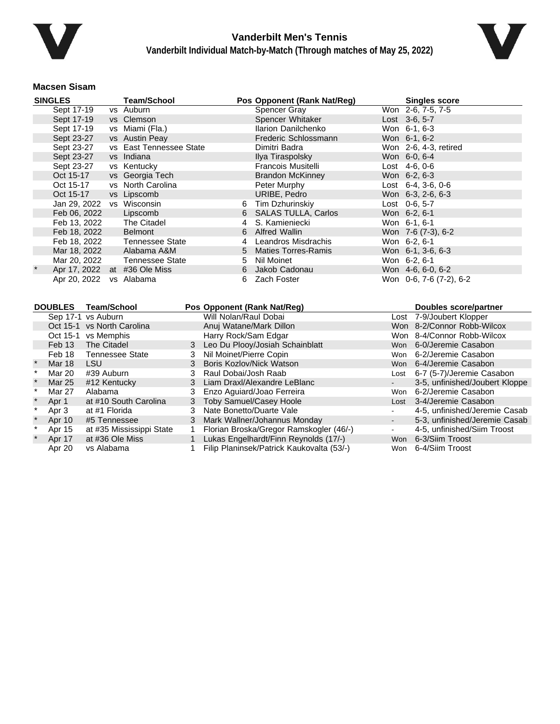



### **Macsen Sisam**

| <b>SINGLES</b>               | <b>Team/School</b>      |   | Pos Opponent (Rank Nat/Reg) | <b>Singles score</b>       |  |
|------------------------------|-------------------------|---|-----------------------------|----------------------------|--|
| Sept 17-19                   | vs Auburn               |   | <b>Spencer Gray</b>         | Won 2-6, 7-5, 7-5          |  |
| Sept 17-19                   | vs Clemson              |   | Spencer Whitaker            | Lost 3-6, 5-7              |  |
| Sept 17-19                   | vs Miami (Fla.)         |   | Ilarion Danilchenko         | Won 6-1, 6-3               |  |
| Sept 23-27                   | vs Austin Peay          |   | Frederic Schlossmann        | Won 6-1, 6-2               |  |
| Sept 23-27                   | vs East Tennessee State |   | Dimitri Badra               | Won 2-6, 4-3, retired      |  |
| Sept 23-27                   | vs Indiana              |   | Ilya Tiraspolsky            | Won 6-0, 6-4               |  |
| Sept 23-27                   | vs Kentucky             |   | <b>Francois Musitelli</b>   | $Last 4-6, 0-6$            |  |
| Oct 15-17                    | vs Georgia Tech         |   | <b>Brandon McKinney</b>     | Won 6-2, 6-3               |  |
| Oct 15-17                    | vs North Carolina       |   | Peter Murphy                | Lost $6-4$ , $3-6$ , $0-6$ |  |
| Oct 15-17                    | vs Lipscomb             |   | URIBE, Pedro                | Won 6-3, 2-6, 6-3          |  |
| Jan 29, 2022 vs Wisconsin    |                         | 6 | Tim Dzhurinskiy             | Lost $0-6, 5-7$            |  |
| Feb 06, 2022                 | Lipscomb                |   | 6 SALAS TULLA, Carlos       | Won 6-2, 6-1               |  |
| Feb 13, 2022                 | The Citadel             |   | S. Kamieniecki              | Won 6-1, 6-1               |  |
| Feb 18, 2022                 | <b>Belmont</b>          | 6 | <b>Alfred Wallin</b>        | Won 7-6 (7-3), 6-2         |  |
| Feb 18, 2022                 | Tennessee State         | 4 | Leandros Misdrachis         | Won 6-2, 6-1               |  |
| Mar 18, 2022                 | Alabama A&M             |   | 5 Maties Torres-Ramis       | Won 6-1, 3-6, 6-3          |  |
| Mar 20, 2022                 | Tennessee State         | 5 | Nil Moinet                  | Won 6-2, 6-1               |  |
| Apr 17, 2022 at #36 Ole Miss |                         |   | 6 Jakob Cadonau             | Won 4-6, 6-0, 6-2          |  |
| Apr 20, 2022                 | vs Alabama              | 6 | Zach Foster                 | Won 0-6, 7-6 (7-2), 6-2    |  |

| <b>DOUBLES</b> |               | <b>Team/School</b>         |   | Pos Opponent (Rank Nat/Req)               |      | Doubles score/partner          |
|----------------|---------------|----------------------------|---|-------------------------------------------|------|--------------------------------|
|                |               | Sep 17-1 vs Auburn         |   | Will Nolan/Raul Dobai                     |      | Lost 7-9/Joubert Klopper       |
|                |               | Oct 15-1 vs North Carolina |   | Anuj Watane/Mark Dillon                   |      | Won 8-2/Connor Robb-Wilcox     |
|                | Oct 15-1      | vs Memphis                 |   | Harry Rock/Sam Edgar                      |      | Won 8-4/Connor Robb-Wilcox     |
|                | Feb 13        | The Citadel                |   | 3 Leo Du Plooy/Josiah Schainblatt         |      | Won 6-0/Jeremie Casabon        |
|                | Feb 18        | <b>Tennessee State</b>     | 3 | Nil Moinet/Pierre Copin                   |      | Won 6-2/Jeremie Casabon        |
|                | <b>Mar 18</b> | LSU.                       | 3 | Boris Kozlov/Nick Watson                  |      | Won 6-4/Jeremie Casabon        |
|                | Mar 20        | #39 Auburn                 | 3 | Raul Dobai/Josh Raab                      | Lost | 6-7 (5-7)/Jeremie Casabon      |
|                | Mar 25        | #12 Kentucky               |   | 3 Liam Draxl/Alexandre LeBlanc            |      | 3-5, unfinished/Joubert Kloppe |
|                | Mar 27        | Alabama                    | 3 | Enzo Aguiard/Joao Ferreira                | Won  | 6-2/Jeremie Casabon            |
|                | Apr 1         | at #10 South Carolina      |   | 3 Toby Samuel/Casey Hoole                 | Lost | 3-4/Jeremie Casabon            |
|                | Apr 3         | at #1 Florida              | 3 | Nate Bonetto/Duarte Vale                  |      | 4-5, unfinished/Jeremie Casab  |
|                | Apr 10        | #5 Tennessee               | 3 | Mark Wallner/Johannus Monday              |      | 5-3, unfinished/Jeremie Casab  |
|                | Apr 15        | at #35 Mississippi State   |   | Florian Broska/Gregor Ramskogler (46/-)   |      | 4-5, unfinished/Siim Troost    |
|                | Apr 17        | at #36 Ole Miss            |   | Lukas Engelhardt/Finn Reynolds (17/-)     | Won  | 6-3/Siim Troost                |
|                | Apr 20        | vs Alabama                 |   | Filip Planinsek/Patrick Kaukovalta (53/-) | Won  | 6-4/Siim Troost                |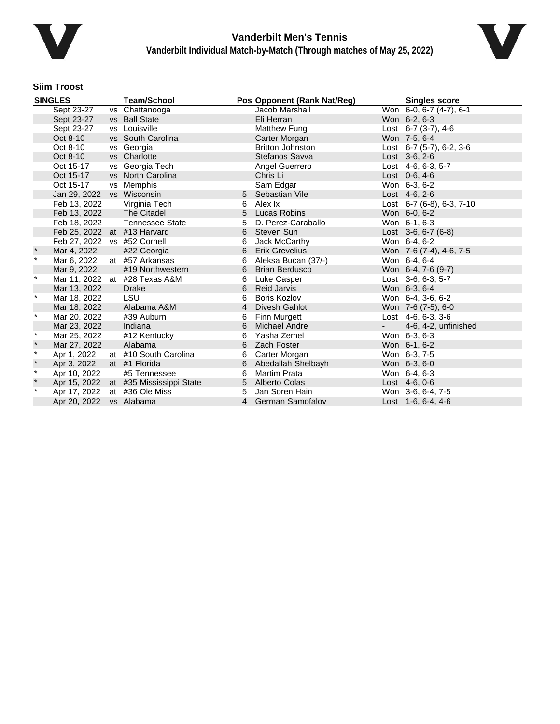



## **Siim Troost**

| <b>SINGLES</b> |                             | <b>Team/School</b>       |   | Pos Opponent (Rank Nat/Reg) | <b>Singles score</b> |                                 |
|----------------|-----------------------------|--------------------------|---|-----------------------------|----------------------|---------------------------------|
|                | Sept 23-27                  | vs Chattanooga           |   | Jacob Marshall              |                      | Won 6-0, 6-7 (4-7), 6-1         |
|                | Sept 23-27                  | vs Ball State            |   | Eli Herran                  |                      | Won 6-2, 6-3                    |
|                | Sept 23-27                  | vs Louisville            |   | Matthew Fung                |                      | Lost $6-7$ $(3-7)$ , $4-6$      |
|                | Oct 8-10                    | vs South Carolina        |   | Carter Morgan               |                      | Won 7-5, 6-4                    |
|                | Oct 8-10                    | vs Georgia               |   | <b>Britton Johnston</b>     |                      | Lost $6-7$ (5-7), $6-2$ , $3-6$ |
|                | Oct 8-10                    | vs Charlotte             |   | Stefanos Savva              |                      | Lost 3-6, 2-6                   |
|                | Oct 15-17                   | vs Georgia Tech          |   | Angel Guerrero              |                      | Lost 4-6, 6-3, 5-7              |
|                | Oct 15-17                   | vs North Carolina        |   | Chris Li                    |                      | Lost 0-6, 4-6                   |
|                | Oct 15-17                   | vs Memphis               |   | Sam Edgar                   |                      | Won 6-3, 6-2                    |
|                | Jan 29, 2022 vs Wisconsin   |                          | 5 | Sebastian Vile              |                      | Lost 4-6, 2-6                   |
|                | Feb 13, 2022                | Virginia Tech            | 6 | Alex Ix                     |                      | Lost $6-7$ (6-8), 6-3, 7-10     |
|                | Feb 13, 2022                | The Citadel              | 5 | Lucas Robins                |                      | Won 6-0, 6-2                    |
|                | Feb 18, 2022                | Tennessee State          | 5 | D. Perez-Caraballo          |                      | Won 6-1, 6-3                    |
|                | Feb 25, 2022 at #13 Harvard |                          | 6 | Steven Sun                  |                      | Lost $3-6, 6-7$ (6-8)           |
|                | Feb 27, 2022 vs #52 Cornell |                          | 6 | Jack McCarthy               |                      | Won 6-4, 6-2                    |
|                | Mar 4, 2022                 | #22 Georgia              | 6 | <b>Erik Grevelius</b>       |                      | Won 7-6 (7-4), 4-6, 7-5         |
| $\star$        | Mar 6, 2022                 | at #57 Arkansas          | 6 | Aleksa Bucan (37/-)         |                      | Won 6-4, 6-4                    |
|                | Mar 9, 2022                 | #19 Northwestern         | 6 | <b>Brian Berdusco</b>       |                      | Won 6-4, 7-6 (9-7)              |
| $\star$        | Mar 11, 2022                | at #28 Texas A&M         | 6 | Luke Casper                 |                      | Lost 3-6, 6-3, 5-7              |
|                | Mar 13, 2022                | <b>Drake</b>             | 6 | <b>Reid Jarvis</b>          |                      | Won 6-3, 6-4                    |
| $\star$        | Mar 18, 2022                | LSU                      | 6 | Boris Kozlov                |                      | Won 6-4, 3-6, 6-2               |
|                | Mar 18, 2022                | Alabama A&M              | 4 | Divesh Gahlot               |                      | Won 7-6 (7-5), 6-0              |
| $\ast$         | Mar 20, 2022                | #39 Auburn               | 6 | Finn Murgett                |                      | Lost $4-6, 6-3, 3-6$            |
|                | Mar 23, 2022                | Indiana                  | 6 | <b>Michael Andre</b>        | $\sim$ $^{-1}$       | 4-6, 4-2, unfinished            |
| $\star$        | Mar 25, 2022                | #12 Kentucky             | 6 | Yasha Zemel                 |                      | Won 6-3, 6-3                    |
| $\star$        | Mar 27, 2022                | Alabama                  | 6 | Zach Foster                 |                      | Won 6-1, 6-2                    |
| $\star$        | Apr 1, 2022                 | at #10 South Carolina    | 6 | Carter Morgan               |                      | Won 6-3, 7-5                    |
| $\pmb{\ast}$   | Apr 3, 2022                 | at #1 Florida            | 6 | Abedallah Shelbayh          |                      | Won 6-3, 6-0                    |
| $\star$        | Apr 10, 2022                | #5 Tennessee             | 6 | <b>Martim Prata</b>         |                      | Won 6-4, 6-3                    |
| $\pmb{\ast}$   | Apr 15, 2022                | at #35 Mississippi State |   | 5 Alberto Colas             |                      | Lost 4-6, 0-6                   |
| $\star$        | Apr 17, 2022                | at #36 Ole Miss          | 5 | Jan Soren Hain              |                      | Won 3-6, 6-4, 7-5               |
|                | Apr 20, 2022                | vs Alabama               |   | 4 German Samofalov          |                      | Lost $1-6, 6-4, 4-6$            |